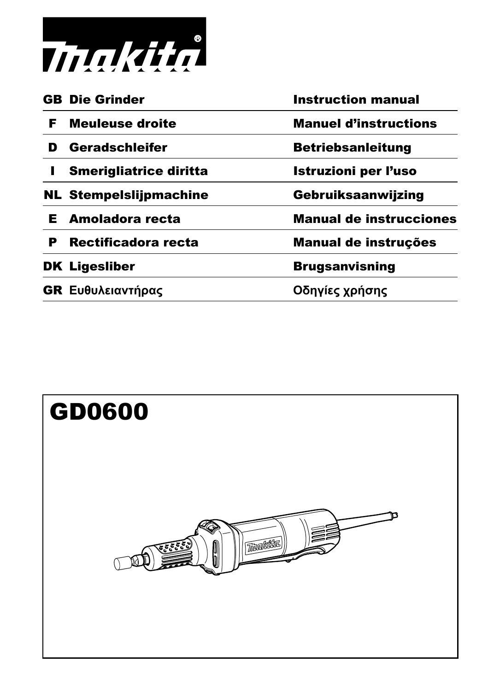

|    | <b>GB</b> Die Grinder         | <b>Instruction manual</b>      |
|----|-------------------------------|--------------------------------|
| F. | <b>Meuleuse droite</b>        | <b>Manuel d'instructions</b>   |
| D  | Geradschleifer                | <b>Betriebsanleitung</b>       |
|    | <b>Smerigliatrice diritta</b> | <b>Istruzioni per l'uso</b>    |
|    | <b>NL Stempelslijpmachine</b> | Gebruiksaanwijzing             |
| E. | Amoladora recta               | <b>Manual de instrucciones</b> |
| P  | Rectificadora recta           | Manual de instruções           |
|    | <b>DK Ligesliber</b>          | <b>Brugsanvisning</b>          |
|    | GR Ευθυλειαντήρας             | Οδηγίες χρήσης                 |

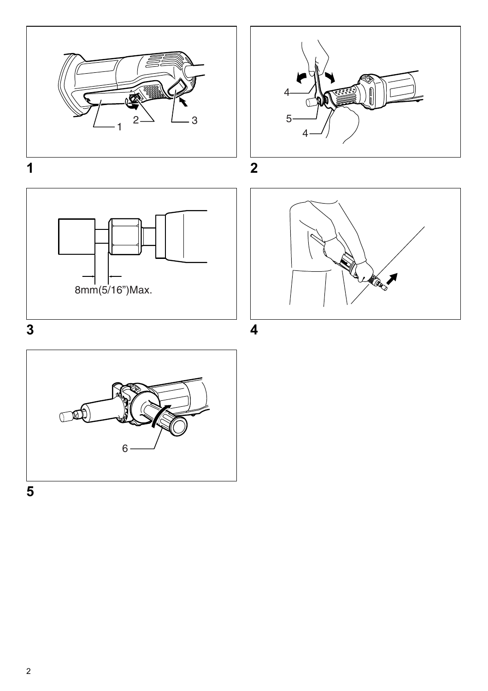



**3 4**





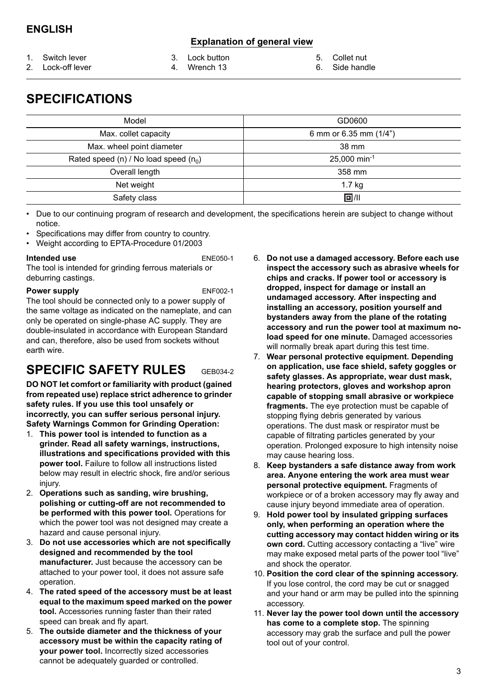### **Explanation of general view**

1. Switch lever

- 3. Lock button 4. Wrench 13
	-
- 5. Collet nut

2. Lock-off lever

- 
- 
- 6. Side handle

# **SPECIFICATIONS**

| Model                                     | GD0600                 |
|-------------------------------------------|------------------------|
| Max. collet capacity                      | 6 mm or 6.35 mm (1/4") |
| Max. wheel point diameter                 | 38 mm                  |
| Rated speed (n) / No load speed ( $n_0$ ) | 25,000 min-1           |
| Overall length                            | 358 mm                 |
| Net weight                                | 1.7 kg                 |
| Safety class                              | 回/11                   |

• Due to our continuing program of research and development, the specifications herein are subject to change without notice.

- Specifications may differ from country to country.
- Weight according to EPTA-Procedure 01/2003

#### **Intended use** ENE050-1

The tool is intended for grinding ferrous materials or deburring castings.

#### **Power supply** ENF002-1

The tool should be connected only to a power supply of the same voltage as indicated on the nameplate, and can only be operated on single-phase AC supply. They are double-insulated in accordance with European Standard and can, therefore, also be used from sockets without earth wire.

# **SPECIFIC SAFETY RULES** GEB034-2

**DO NOT let comfort or familiarity with product (gained** 

**from repeated use) replace strict adherence to grinder safety rules. If you use this tool unsafely or incorrectly, you can suffer serious personal injury. Safety Warnings Common for Grinding Operation:** 

- 1. **This power tool is intended to function as a grinder. Read all safety warnings, instructions, illustrations and specifications provided with this power tool.** Failure to follow all instructions listed below may result in electric shock, fire and/or serious injury.
- 2. **Operations such as sanding, wire brushing, polishing or cutting-off are not recommended to be performed with this power tool.** Operations for which the power tool was not designed may create a hazard and cause personal injury.
- 3. **Do not use accessories which are not specifically designed and recommended by the tool manufacturer.** Just because the accessory can be attached to your power tool, it does not assure safe operation.
- 4. **The rated speed of the accessory must be at least equal to the maximum speed marked on the power tool.** Accessories running faster than their rated speed can break and fly apart.
- 5. **The outside diameter and the thickness of your accessory must be within the capacity rating of your power tool.** Incorrectly sized accessories cannot be adequately guarded or controlled.
- 6. **Do not use a damaged accessory. Before each use inspect the accessory such as abrasive wheels for chips and cracks. If power tool or accessory is dropped, inspect for damage or install an undamaged accessory. After inspecting and installing an accessory, position yourself and bystanders away from the plane of the rotating accessory and run the power tool at maximum noload speed for one minute.** Damaged accessories will normally break apart during this test time.
- 7. **Wear personal protective equipment. Depending on application, use face shield, safety goggles or safety glasses. As appropriate, wear dust mask, hearing protectors, gloves and workshop apron capable of stopping small abrasive or workpiece fragments.** The eye protection must be capable of stopping flying debris generated by various operations. The dust mask or respirator must be capable of filtrating particles generated by your operation. Prolonged exposure to high intensity noise may cause hearing loss.
- 8. **Keep bystanders a safe distance away from work area. Anyone entering the work area must wear personal protective equipment.** Fragments of workpiece or of a broken accessory may fly away and cause injury beyond immediate area of operation.
- 9. **Hold power tool by insulated gripping surfaces only, when performing an operation where the cutting accessory may contact hidden wiring or its own cord.** Cutting accessory contacting a "live" wire may make exposed metal parts of the power tool "live" and shock the operator.
- 10. **Position the cord clear of the spinning accessory.** If you lose control, the cord may be cut or snagged and your hand or arm may be pulled into the spinning accessory.
- 11. **Never lay the power tool down until the accessory has come to a complete stop.** The spinning accessory may grab the surface and pull the power tool out of your control.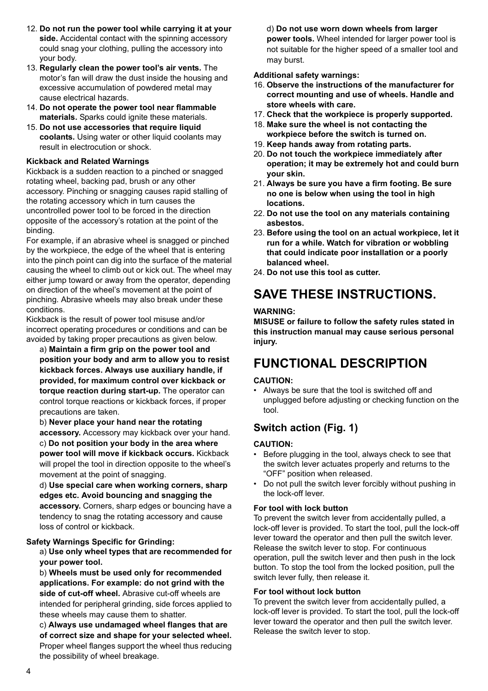- 12. **Do not run the power tool while carrying it at your side.** Accidental contact with the spinning accessory could snag your clothing, pulling the accessory into your body.
- 13. **Regularly clean the power tool's air vents.** The motor's fan will draw the dust inside the housing and excessive accumulation of powdered metal may cause electrical hazards.
- 14. **Do not operate the power tool near flammable materials.** Sparks could ignite these materials.
- 15. **Do not use accessories that require liquid coolants.** Using water or other liquid coolants may result in electrocution or shock.

#### **Kickback and Related Warnings**

Kickback is a sudden reaction to a pinched or snagged rotating wheel, backing pad, brush or any other accessory. Pinching or snagging causes rapid stalling of the rotating accessory which in turn causes the uncontrolled power tool to be forced in the direction opposite of the accessory's rotation at the point of the binding.

For example, if an abrasive wheel is snagged or pinched by the workpiece, the edge of the wheel that is entering into the pinch point can dig into the surface of the material causing the wheel to climb out or kick out. The wheel may either jump toward or away from the operator, depending on direction of the wheel's movement at the point of pinching. Abrasive wheels may also break under these conditions.

Kickback is the result of power tool misuse and/or incorrect operating procedures or conditions and can be avoided by taking proper precautions as given below.

a) **Maintain a firm grip on the power tool and position your body and arm to allow you to resist kickback forces. Always use auxiliary handle, if provided, for maximum control over kickback or torque reaction during start-up.** The operator can control torque reactions or kickback forces, if proper precautions are taken.

b) **Never place your hand near the rotating accessory.** Accessory may kickback over your hand. c) **Do not position your body in the area where power tool will move if kickback occurs.** Kickback will propel the tool in direction opposite to the wheel's movement at the point of snagging.

d) **Use special care when working corners, sharp edges etc. Avoid bouncing and snagging the accessory.** Corners, sharp edges or bouncing have a tendency to snag the rotating accessory and cause loss of control or kickback.

#### **Safety Warnings Specific for Grinding:**

a) **Use only wheel types that are recommended for your power tool.** 

b) **Wheels must be used only for recommended applications. For example: do not grind with the side of cut-off wheel.** Abrasive cut-off wheels are intended for peripheral grinding, side forces applied to these wheels may cause them to shatter.

c) **Always use undamaged wheel flanges that are of correct size and shape for your selected wheel.** Proper wheel flanges support the wheel thus reducing the possibility of wheel breakage.

d) **Do not use worn down wheels from larger power tools.** Wheel intended for larger power tool is not suitable for the higher speed of a smaller tool and may burst.

#### **Additional safety warnings:**

- 16. **Observe the instructions of the manufacturer for correct mounting and use of wheels. Handle and store wheels with care.**
- 17. **Check that the workpiece is properly supported.**
- 18. **Make sure the wheel is not contacting the workpiece before the switch is turned on.**
- 19. **Keep hands away from rotating parts.**
- 20. **Do not touch the workpiece immediately after operation; it may be extremely hot and could burn your skin.**
- 21. **Always be sure you have a firm footing. Be sure no one is below when using the tool in high locations.**
- 22. **Do not use the tool on any materials containing asbestos.**
- 23. **Before using the tool on an actual workpiece, let it run for a while. Watch for vibration or wobbling that could indicate poor installation or a poorly balanced wheel.**
- 24. **Do not use this tool as cutter.**

# **SAVE THESE INSTRUCTIONS.**

#### **WARNING:**

**MISUSE or failure to follow the safety rules stated in this instruction manual may cause serious personal injury.**

### **FUNCTIONAL DESCRIPTION**

#### **CAUTION:**

• Always be sure that the tool is switched off and unplugged before adjusting or checking function on the tool.

### **Switch action (Fig. 1)**

#### **CAUTION:**

- Before plugging in the tool, always check to see that the switch lever actuates properly and returns to the "OFF" position when released.
- Do not pull the switch lever forcibly without pushing in the lock-off lever.

#### **For tool with lock button**

To prevent the switch lever from accidentally pulled, a lock-off lever is provided. To start the tool, pull the lock-off lever toward the operator and then pull the switch lever. Release the switch lever to stop. For continuous operation, pull the switch lever and then push in the lock button. To stop the tool from the locked position, pull the switch lever fully, then release it.

#### **For tool without lock button**

To prevent the switch lever from accidentally pulled, a lock-off lever is provided. To start the tool, pull the lock-off lever toward the operator and then pull the switch lever. Release the switch lever to stop.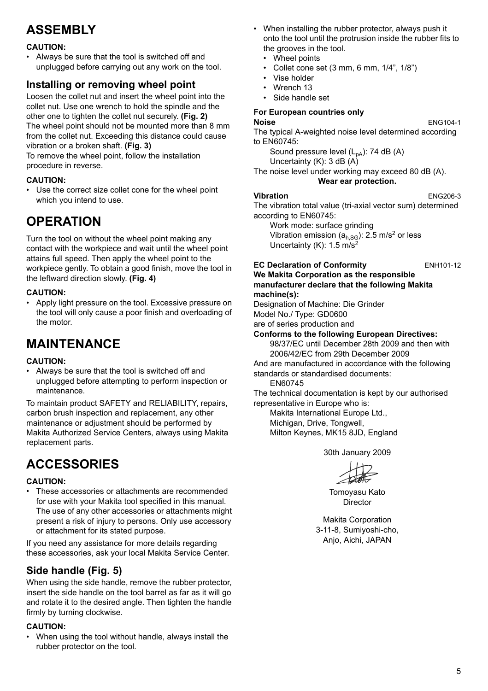# **ASSEMBLY**

#### **CAUTION:**

• Always be sure that the tool is switched off and unplugged before carrying out any work on the tool.

### **Installing or removing wheel point**

Loosen the collet nut and insert the wheel point into the collet nut. Use one wrench to hold the spindle and the other one to tighten the collet nut securely. **(Fig. 2)** The wheel point should not be mounted more than 8 mm from the collet nut. Exceeding this distance could cause vibration or a broken shaft. **(Fig. 3)** To remove the wheel point, follow the installation

procedure in reverse.

#### **CAUTION:**

• Use the correct size collet cone for the wheel point which you intend to use.

# **OPERATION**

Turn the tool on without the wheel point making any contact with the workpiece and wait until the wheel point attains full speed. Then apply the wheel point to the workpiece gently. To obtain a good finish, move the tool in the leftward direction slowly. **(Fig. 4)**

#### **CAUTION:**

• Apply light pressure on the tool. Excessive pressure on the tool will only cause a poor finish and overloading of the motor.

## **MAINTENANCE**

#### **CAUTION:**

• Always be sure that the tool is switched off and unplugged before attempting to perform inspection or maintenance.

To maintain product SAFETY and RELIABILITY, repairs, carbon brush inspection and replacement, any other maintenance or adjustment should be performed by Makita Authorized Service Centers, always using Makita replacement parts.

# **ACCESSORIES**

#### **CAUTION:**

• These accessories or attachments are recommended for use with your Makita tool specified in this manual. The use of any other accessories or attachments might present a risk of injury to persons. Only use accessory or attachment for its stated purpose.

If you need any assistance for more details regarding these accessories, ask your local Makita Service Center.

### **Side handle (Fig. 5)**

When using the side handle, remove the rubber protector, insert the side handle on the tool barrel as far as it will go and rotate it to the desired angle. Then tighten the handle firmly by turning clockwise.

### **CAUTION:**

• When using the tool without handle, always install the rubber protector on the tool.

- When installing the rubber protector, always push it onto the tool until the protrusion inside the rubber fits to the grooves in the tool.
	- Wheel points
	- Collet cone set (3 mm, 6 mm, 1/4", 1/8")
	- Vise holder
	- Wrench 13
	- Side handle set

### **For European countries only**

#### **Noise** ENG104-1

The typical A-weighted noise level determined according to EN60745:

Sound pressure level  $(L_{pA})$ : 74 dB  $(A)$ Uncertainty (K): 3 dB (A)

The noise level under working may exceed 80 dB (A). **Wear ear protection.**

#### **Vibration** ENG206-3

The vibration total value (tri-axial vector sum) determined according to EN60745:

Work mode: surface grinding Vibration emission  $(a<sub>h,SG</sub>)$ : 2.5 m/s<sup>2</sup> or less Uncertainty  $(K)$ : 1.5 m/s<sup>2</sup>

#### **EC Declaration of Conformity** ENH101-12 **We Makita Corporation as the responsible manufacturer declare that the following Makita machine(s):**

Designation of Machine: Die Grinder Model No./ Type: GD0600

are of series production and

### **Conforms to the following European Directives:**

98/37/EC until December 28th 2009 and then with 2006/42/EC from 29th December 2009

And are manufactured in accordance with the following standards or standardised documents:

EN60745

The technical documentation is kept by our authorised representative in Europe who is:

Makita International Europe Ltd., Michigan, Drive, Tongwell,

Milton Keynes, MK15 8JD, England

30th January 2009

Tomoyasu Kato Director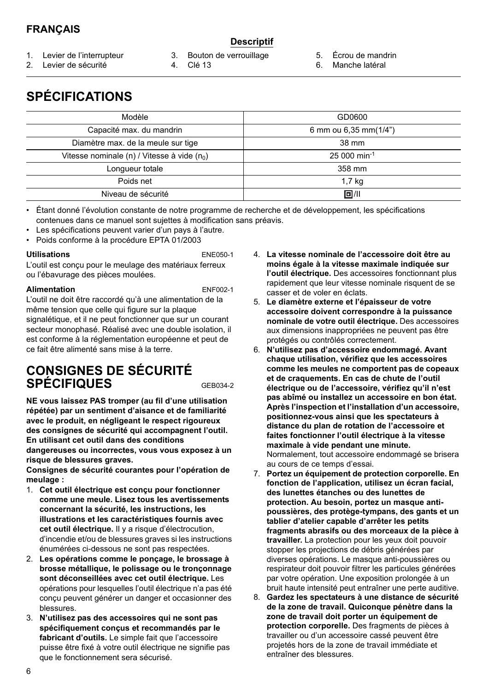### **FRANÇAIS**

### **Descriptif**

- 1. Levier de l'interrupteur
- 2. Levier de sécurité
- 3. Bouton de verrouillage
- 4. Clé 13
- 5. Écrou de mandrin
- 6. Manche latéral

# **SPÉCIFICATIONS**

| Modèle                                                  | GD0600                    |
|---------------------------------------------------------|---------------------------|
| Capacité max. du mandrin                                | 6 mm ou 6,35 mm(1/4")     |
| Diamètre max. de la meule sur tige                      | 38 mm                     |
| Vitesse nominale (n) / Vitesse à vide (n <sub>0</sub> ) | $25000$ min <sup>-1</sup> |
| Lonqueur totale                                         | 358 mm                    |
| Poids net                                               | 1,7 kg                    |
| Niveau de sécurité                                      | 回川                        |
|                                                         |                           |

• Étant donné l'évolution constante de notre programme de recherche et de développement, les spécifications contenues dans ce manuel sont sujettes à modification sans préavis.

- Les spécifications peuvent varier d'un pays à l'autre.
- Poids conforme à la procédure EPTA 01/2003

#### **Utilisations** ENE050-1

L'outil est conçu pour le meulage des matériaux ferreux ou l'ébavurage des pièces moulées.

#### **Alimentation** ENF002-1

L'outil ne doit être raccordé qu'à une alimentation de la même tension que celle qui figure sur la plaque signalétique, et il ne peut fonctionner que sur un courant secteur monophasé. Réalisé avec une double isolation, il est conforme à la réglementation européenne et peut de ce fait être alimenté sans mise à la terre.

### **CONSIGNES DE SÉCURITÉ SPÉCIFIQUES** GEB034-2

**NE vous laissez PAS tromper (au fil d'une utilisation répétée) par un sentiment d'aisance et de familiarité avec le produit, en négligeant le respect rigoureux des consignes de sécurité qui accompagnent l'outil. En utilisant cet outil dans des conditions** 

**dangereuses ou incorrectes, vous vous exposez à un risque de blessures graves.**

**Consignes de sécurité courantes pour l'opération de meulage :** 

- 1. **Cet outil électrique est conçu pour fonctionner comme une meule. Lisez tous les avertissements concernant la sécurité, les instructions, les illustrations et les caractéristiques fournis avec cet outil électrique.** Il y a risque d'électrocution, d'incendie et/ou de blessures graves si les instructions énumérées ci-dessous ne sont pas respectées.
- 2. **Les opérations comme le ponçage, le brossage à brosse métallique, le polissage ou le tronçonnage sont déconseillées avec cet outil électrique.** Les opérations pour lesquelles l'outil électrique n'a pas été conçu peuvent générer un danger et occasionner des blessures.
- 3. **N'utilisez pas des accessoires qui ne sont pas spécifiquement conçus et recommandés par le fabricant d'outils.** Le simple fait que l'accessoire puisse être fixé à votre outil électrique ne signifie pas que le fonctionnement sera sécurisé.
- 4. **La vitesse nominale de l'accessoire doit être au moins égale à la vitesse maximale indiquée sur l'outil électrique.** Des accessoires fonctionnant plus rapidement que leur vitesse nominale risquent de se casser et de voler en éclats.
- 5. **Le diamètre externe et l'épaisseur de votre accessoire doivent correspondre à la puissance nominale de votre outil électrique.** Des accessoires aux dimensions inappropriées ne peuvent pas être protégés ou contrôlés correctement.
- 6. **N'utilisez pas d'accessoire endommagé. Avant chaque utilisation, vérifiez que les accessoires comme les meules ne comportent pas de copeaux et de craquements. En cas de chute de l'outil électrique ou de l'accessoire, vérifiez qu'il n'est pas abîmé ou installez un accessoire en bon état. Après l'inspection et l'installation d'un accessoire, positionnez-vous ainsi que les spectateurs à distance du plan de rotation de l'accessoire et faites fonctionner l'outil électrique à la vitesse maximale à vide pendant une minute.** Normalement, tout accessoire endommagé se brisera au cours de ce temps d'essai.
- 7. **Portez un équipement de protection corporelle. En fonction de l'application, utilisez un écran facial, des lunettes étanches ou des lunettes de protection. Au besoin, portez un masque antipoussières, des protège-tympans, des gants et un tablier d'atelier capable d'arrêter les petits fragments abrasifs ou des morceaux de la pièce à travailler.** La protection pour les yeux doit pouvoir stopper les projections de débris générées par diverses opérations. Le masque anti-poussières ou respirateur doit pouvoir filtrer les particules générées par votre opération. Une exposition prolongée à un bruit haute intensité peut entraîner une perte auditive.
- 8. **Gardez les spectateurs à une distance de sécurité de la zone de travail. Quiconque pénètre dans la zone de travail doit porter un équipement de protection corporelle.** Des fragments de pièces à travailler ou d'un accessoire cassé peuvent être projetés hors de la zone de travail immédiate et entraîner des blessures.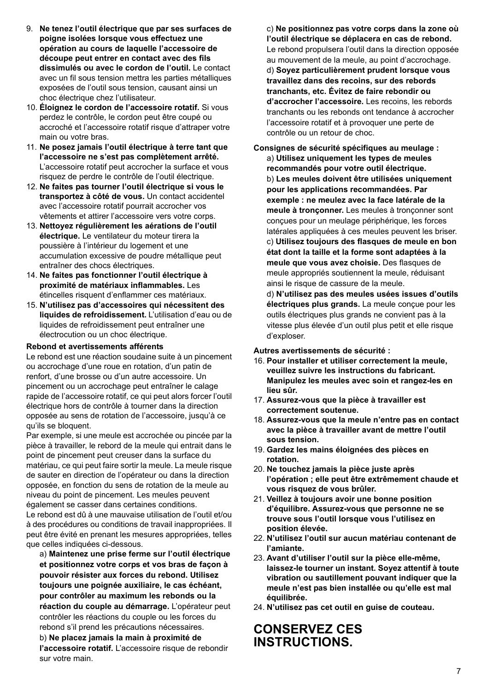- 9. **Ne tenez l'outil électrique que par ses surfaces de poigne isolées lorsque vous effectuez une opération au cours de laquelle l'accessoire de découpe peut entrer en contact avec des fils dissimulés ou avec le cordon de l'outil.** Le contact avec un fil sous tension mettra les parties métalliques exposées de l'outil sous tension, causant ainsi un choc électrique chez l'utilisateur.
- 10. **Éloignez le cordon de l'accessoire rotatif.** Si vous perdez le contrôle, le cordon peut être coupé ou accroché et l'accessoire rotatif risque d'attraper votre main ou votre bras.
- 11. **Ne posez jamais l'outil électrique à terre tant que l'accessoire ne s'est pas complètement arrêté.** L'accessoire rotatif peut accrocher la surface et vous risquez de perdre le contrôle de l'outil électrique.
- 12. **Ne faites pas tourner l'outil électrique si vous le transportez à côté de vous.** Un contact accidentel avec l'accessoire rotatif pourrait accrocher vos vêtements et attirer l'accessoire vers votre corps.
- 13. **Nettoyez régulièrement les aérations de l'outil électrique.** Le ventilateur du moteur tirera la poussière à l'intérieur du logement et une accumulation excessive de poudre métallique peut entraîner des chocs électriques.
- 14. **Ne faites pas fonctionner l'outil électrique à proximité de matériaux inflammables.** Les étincelles risquent d'enflammer ces matériaux.
- 15. **N'utilisez pas d'accessoires qui nécessitent des liquides de refroidissement.** L'utilisation d'eau ou de liquides de refroidissement peut entraîner une électrocution ou un choc électrique.

#### **Rebond et avertissements afférents**

Le rebond est une réaction soudaine suite à un pincement ou accrochage d'une roue en rotation, d'un patin de renfort, d'une brosse ou d'un autre accessoire. Un pincement ou un accrochage peut entraîner le calage rapide de l'accessoire rotatif, ce qui peut alors forcer l'outil électrique hors de contrôle à tourner dans la direction opposée au sens de rotation de l'accessoire, jusqu'à ce qu'ils se bloquent.

Par exemple, si une meule est accrochée ou pincée par la pièce à travailler, le rebord de la meule qui entrait dans le point de pincement peut creuser dans la surface du matériau, ce qui peut faire sortir la meule. La meule risque de sauter en direction de l'opérateur ou dans la direction opposée, en fonction du sens de rotation de la meule au niveau du point de pincement. Les meules peuvent également se casser dans certaines conditions. Le rebond est dû à une mauvaise utilisation de l'outil et/ou à des procédures ou conditions de travail inappropriées. Il peut être évité en prenant les mesures appropriées, telles que celles indiquées ci-dessous.

a) **Maintenez une prise ferme sur l'outil électrique et positionnez votre corps et vos bras de façon à pouvoir résister aux forces du rebond. Utilisez toujours une poignée auxiliaire, le cas échéant, pour contrôler au maximum les rebonds ou la réaction du couple au démarrage.** L'opérateur peut contrôler les réactions du couple ou les forces du rebond s'il prend les précautions nécessaires. b) **Ne placez jamais la main à proximité de l'accessoire rotatif.** L'accessoire risque de rebondir sur votre main.

c) **Ne positionnez pas votre corps dans la zone où l'outil électrique se déplacera en cas de rebond.** Le rebond propulsera l'outil dans la direction opposée au mouvement de la meule, au point d'accrochage. d) **Soyez particulièrement prudent lorsque vous travaillez dans des recoins, sur des rebords tranchants, etc. Évitez de faire rebondir ou d'accrocher l'accessoire.** Les recoins, les rebords tranchants ou les rebonds ont tendance à accrocher l'accessoire rotatif et à provoquer une perte de contrôle ou un retour de choc.

**Consignes de sécurité spécifiques au meulage :**  a) **Utilisez uniquement les types de meules recommandés pour votre outil électrique.**  b) **Les meules doivent être utilisées uniquement pour les applications recommandées. Par exemple : ne meulez avec la face latérale de la meule à tronçonner.** Les meules à tronçonner sont conçues pour un meulage périphérique, les forces latérales appliquées à ces meules peuvent les briser. c) **Utilisez toujours des flasques de meule en bon état dont la taille et la forme sont adaptées à la meule que vous avez choisie.** Des flasques de meule appropriés soutiennent la meule, réduisant ainsi le risque de cassure de la meule.

d) **N'utilisez pas des meules usées issues d'outils électriques plus grands.** La meule conçue pour les outils électriques plus grands ne convient pas à la vitesse plus élevée d'un outil plus petit et elle risque d'exploser.

**Autres avertissements de sécurité :** 

- 16. **Pour installer et utiliser correctement la meule, veuillez suivre les instructions du fabricant. Manipulez les meules avec soin et rangez-les en lieu sûr.**
- 17. **Assurez-vous que la pièce à travailler est correctement soutenue.**
- 18. **Assurez-vous que la meule n'entre pas en contact avec la pièce à travailler avant de mettre l'outil sous tension.**
- 19. **Gardez les mains éloignées des pièces en rotation.**
- 20. **Ne touchez jamais la pièce juste après l'opération ; elle peut être extrêmement chaude et vous risquez de vous brûler.**
- 21. **Veillez à toujours avoir une bonne position d'équilibre. Assurez-vous que personne ne se trouve sous l'outil lorsque vous l'utilisez en position élevée.**
- 22. **N'utilisez l'outil sur aucun matériau contenant de l'amiante.**
- 23. **Avant d'utiliser l'outil sur la pièce elle-même, laissez-le tourner un instant. Soyez attentif à toute vibration ou sautillement pouvant indiquer que la meule n'est pas bien installée ou qu'elle est mal équilibrée.**
- 24. **N'utilisez pas cet outil en guise de couteau.**

### **CONSERVEZ CES INSTRUCTIONS.**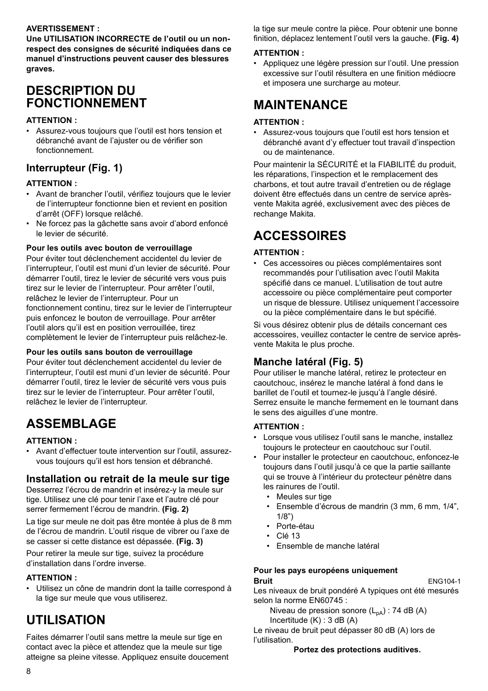### **AVERTISSEMENT :**

**Une UTILISATION INCORRECTE de l'outil ou un nonrespect des consignes de sécurité indiquées dans ce manuel d'instructions peuvent causer des blessures graves.**

### **DESCRIPTION DU FONCTIONNEMENT**

#### **ATTENTION :**

• Assurez-vous toujours que l'outil est hors tension et débranché avant de l'ajuster ou de vérifier son fonctionnement.

### **Interrupteur (Fig. 1)**

#### **ATTENTION :**

- Avant de brancher l'outil, vérifiez toujours que le levier de l'interrupteur fonctionne bien et revient en position d'arrêt (OFF) lorsque relâché.
- Ne forcez pas la gâchette sans avoir d'abord enfoncé le levier de sécurité.

#### **Pour les outils avec bouton de verrouillage**

Pour éviter tout déclenchement accidentel du levier de l'interrupteur, l'outil est muni d'un levier de sécurité. Pour démarrer l'outil, tirez le levier de sécurité vers vous puis tirez sur le levier de l'interrupteur. Pour arrêter l'outil, relâchez le levier de l'interrupteur. Pour un fonctionnement continu, tirez sur le levier de l'interrupteur puis enfoncez le bouton de verrouillage. Pour arrêter l'outil alors qu'il est en position verrouillée, tirez complètement le levier de l'interrupteur puis relâchez-le.

#### **Pour les outils sans bouton de verrouillage**

Pour éviter tout déclenchement accidentel du levier de l'interrupteur, l'outil est muni d'un levier de sécurité. Pour démarrer l'outil, tirez le levier de sécurité vers vous puis tirez sur le levier de l'interrupteur. Pour arrêter l'outil, relâchez le levier de l'interrupteur.

# **ASSEMBLAGE**

#### **ATTENTION :**

• Avant d'effectuer toute intervention sur l'outil, assurezvous toujours qu'il est hors tension et débranché.

### **Installation ou retrait de la meule sur tige**

Desserrez l'écrou de mandrin et insérez-y la meule sur tige. Utilisez une clé pour tenir l'axe et l'autre clé pour serrer fermement l'écrou de mandrin. **(Fig. 2)**

La tige sur meule ne doit pas être montée à plus de 8 mm de l'écrou de mandrin. L'outil risque de vibrer ou l'axe de se casser si cette distance est dépassée. **(Fig. 3)**

Pour retirer la meule sur tige, suivez la procédure d'installation dans l'ordre inverse.

### **ATTENTION :**

• Utilisez un cône de mandrin dont la taille correspond à la tige sur meule que vous utiliserez.

# **UTILISATION**

Faites démarrer l'outil sans mettre la meule sur tige en contact avec la pièce et attendez que la meule sur tige atteigne sa pleine vitesse. Appliquez ensuite doucement la tige sur meule contre la pièce. Pour obtenir une bonne finition, déplacez lentement l'outil vers la gauche. **(Fig. 4)**

#### **ATTENTION :**

• Appliquez une légère pression sur l'outil. Une pression excessive sur l'outil résultera en une finition médiocre et imposera une surcharge au moteur.

# **MAINTENANCE**

### **ATTENTION :**

• Assurez-vous toujours que l'outil est hors tension et débranché avant d'y effectuer tout travail d'inspection ou de maintenance.

Pour maintenir la SÉCURITÉ et la FIABILITÉ du produit, les réparations, l'inspection et le remplacement des charbons, et tout autre travail d'entretien ou de réglage doivent être effectués dans un centre de service aprèsvente Makita agréé, exclusivement avec des pièces de rechange Makita.

# **ACCESSOIRES**

#### **ATTENTION :**

• Ces accessoires ou pièces complémentaires sont recommandés pour l'utilisation avec l'outil Makita spécifié dans ce manuel. L'utilisation de tout autre accessoire ou pièce complémentaire peut comporter un risque de blessure. Utilisez uniquement l'accessoire ou la pièce complémentaire dans le but spécifié.

Si vous désirez obtenir plus de détails concernant ces accessoires, veuillez contacter le centre de service aprèsvente Makita le plus proche.

### **Manche latéral (Fig. 5)**

Pour utiliser le manche latéral, retirez le protecteur en caoutchouc, insérez le manche latéral à fond dans le barillet de l'outil et tournez-le jusqu'à l'angle désiré. Serrez ensuite le manche fermement en le tournant dans le sens des aiguilles d'une montre.

#### **ATTENTION :**

- Lorsque vous utilisez l'outil sans le manche, installez toujours le protecteur en caoutchouc sur l'outil.
- Pour installer le protecteur en caoutchouc, enfoncez-le toujours dans l'outil jusqu'à ce que la partie saillante qui se trouve à l'intérieur du protecteur pénètre dans les rainures de l'outil.
	- Meules sur tige
	- Ensemble d'écrous de mandrin (3 mm, 6 mm, 1/4", 1/8")
	- Porte-étau
	- $C1613$
	- Ensemble de manche latéral

#### **Pour les pays européens uniquement Bruit** ENG104-1

Les niveaux de bruit pondéré A typiques ont été mesurés selon la norme EN60745 :

Niveau de pression sonore  $(L_{pA})$ : 74 dB (A) Incertitude (K) : 3 dB (A)

Le niveau de bruit peut dépasser 80 dB (A) lors de l'utilisation.

#### **Portez des protections auditives.**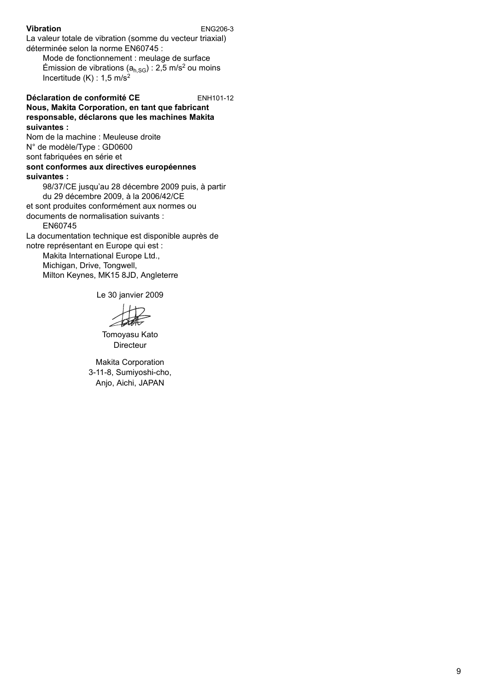#### **Vibration** ENG206-3

La valeur totale de vibration (somme du vecteur triaxial) déterminée selon la norme EN60745 :

Mode de fonctionnement : meulage de surface Émission de vibrations ( $a_{h,SG}$ ) : 2,5 m/s<sup>2</sup> ou moins Incertitude  $(K)$  : 1,5 m/s<sup>2</sup>

#### **Déclaration de conformité CE** ENH101-12

#### **Nous, Makita Corporation, en tant que fabricant responsable, déclarons que les machines Makita suivantes :**

Nom de la machine : Meuleuse droite N° de modèle/Type : GD0600

sont fabriquées en série et

#### **sont conformes aux directives européennes suivantes :**

98/37/CE jusqu'au 28 décembre 2009 puis, à partir du 29 décembre 2009, à la 2006/42/CE et sont produites conformément aux normes ou documents de normalisation suivants : EN60745

La documentation technique est disponible auprès de notre représentant en Europe qui est :

Makita International Europe Ltd., Michigan, Drive, Tongwell, Milton Keynes, MK15 8JD, Angleterre

Le 30 janvier 2009

Tomoyasu Kato Directeur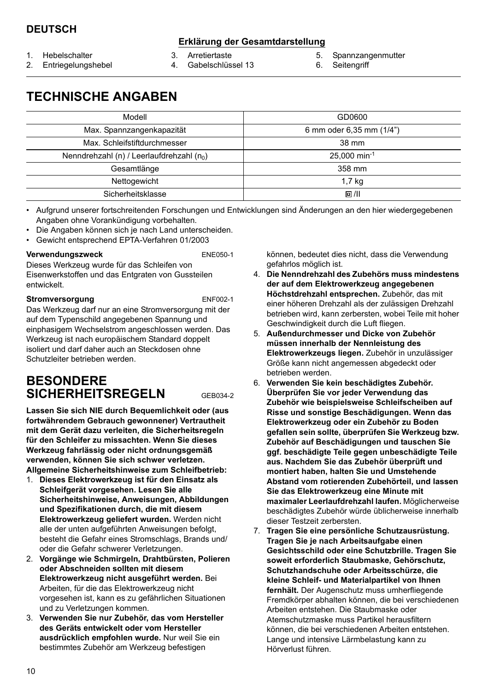### **Erklärung der Gesamtdarstellung**

- 1. Hebelschalter
- 2. Entriegelungshebel
- 3. Arretiertaste 4. Gabelschlüssel 13
- 5. Spannzangenmutter
- 6. Seitengriff

# **TECHNISCHE ANGABEN**

| Modell                                                | GD0600                     |
|-------------------------------------------------------|----------------------------|
| Max. Spannzangenkapazität                             | 6 mm oder 6,35 mm (1/4")   |
| Max. Schleifstiftdurchmesser                          | 38 mm                      |
| Nenndrehzahl (n) / Leerlaufdrehzahl (n <sub>0</sub> ) | $25.000$ min <sup>-1</sup> |
| Gesamtlänge                                           | 358 mm                     |
| Nettogewicht                                          | 1.7 <sub>kg</sub>          |
| Sicherheitsklasse                                     | 回川                         |

• Aufgrund unserer fortschreitenden Forschungen und Entwicklungen sind Änderungen an den hier wiedergegebenen Angaben ohne Vorankündigung vorbehalten.

- Die Angaben können sich je nach Land unterscheiden.
- Gewicht entsprechend EPTA-Verfahren 01/2003

#### **Verwendungszweck** ENE050-1

Dieses Werkzeug wurde für das Schleifen von Eisenwerkstoffen und das Entgraten von Gussteilen entwickelt.

#### **Stromversorgung** ENF002-1

Das Werkzeug darf nur an eine Stromversorgung mit der auf dem Typenschild angegebenen Spannung und einphasigem Wechselstrom angeschlossen werden. Das Werkzeug ist nach europäischem Standard doppelt isoliert und darf daher auch an Steckdosen ohne Schutzleiter betrieben werden.

### **BESONDERE SICHERHEITSREGELN** GEB034-2

**Lassen Sie sich NIE durch Bequemlichkeit oder (aus fortwährendem Gebrauch gewonnener) Vertrautheit mit dem Gerät dazu verleiten, die Sicherheitsregeln für den Schleifer zu missachten. Wenn Sie dieses Werkzeug fahrlässig oder nicht ordnungsgemäß verwenden, können Sie sich schwer verletzen. Allgemeine Sicherheitshinweise zum Schleifbetrieb:** 

- 1. **Dieses Elektrowerkzeug ist für den Einsatz als Schleifgerät vorgesehen. Lesen Sie alle Sicherheitshinweise, Anweisungen, Abbildungen und Spezifikationen durch, die mit diesem Elektrowerkzeug geliefert wurden.** Werden nicht alle der unten aufgeführten Anweisungen befolgt, besteht die Gefahr eines Stromschlags, Brands und/ oder die Gefahr schwerer Verletzungen.
- 2. **Vorgänge wie Schmirgeln, Drahtbürsten, Polieren oder Abschneiden sollten mit diesem Elektrowerkzeug nicht ausgeführt werden.** Bei Arbeiten, für die das Elektrowerkzeug nicht vorgesehen ist, kann es zu gefährlichen Situationen und zu Verletzungen kommen.
- 3. **Verwenden Sie nur Zubehör, das vom Hersteller des Geräts entwickelt oder vom Hersteller ausdrücklich empfohlen wurde.** Nur weil Sie ein bestimmtes Zubehör am Werkzeug befestigen

können, bedeutet dies nicht, dass die Verwendung gefahrlos möglich ist.

- 4. **Die Nenndrehzahl des Zubehörs muss mindestens der auf dem Elektrowerkzeug angegebenen Höchstdrehzahl entsprechen.** Zubehör, das mit einer höheren Drehzahl als der zulässigen Drehzahl betrieben wird, kann zerbersten, wobei Teile mit hoher Geschwindigkeit durch die Luft fliegen.
- 5. **Außendurchmesser und Dicke von Zubehör müssen innerhalb der Nennleistung des Elektrowerkzeugs liegen.** Zubehör in unzulässiger Größe kann nicht angemessen abgedeckt oder betrieben werden.
- 6. **Verwenden Sie kein beschädigtes Zubehör. Überprüfen Sie vor jeder Verwendung das Zubehör wie beispielsweise Schleifscheiben auf Risse und sonstige Beschädigungen. Wenn das Elektrowerkzeug oder ein Zubehör zu Boden gefallen sein sollte, überprüfen Sie Werkzeug bzw. Zubehör auf Beschädigungen und tauschen Sie ggf. beschädigte Teile gegen unbeschädigte Teile aus. Nachdem Sie das Zubehör überprüft und montiert haben, halten Sie und Umstehende Abstand vom rotierenden Zubehörteil, und lassen Sie das Elektrowerkzeug eine Minute mit maximaler Leerlaufdrehzahl laufen.** Möglicherweise beschädigtes Zubehör würde üblicherweise innerhalb dieser Testzeit zerbersten.
- 7. **Tragen Sie eine persönliche Schutzausrüstung. Tragen Sie je nach Arbeitsaufgabe einen Gesichtsschild oder eine Schutzbrille. Tragen Sie soweit erforderlich Staubmaske, Gehörschutz, Schutzhandschuhe oder Arbeitsschürze, die kleine Schleif- und Materialpartikel von Ihnen fernhält.** Der Augenschutz muss umherfliegende Fremdkörper abhalten können, die bei verschiedenen Arbeiten entstehen. Die Staubmaske oder Atemschutzmaske muss Partikel herausfiltern können, die bei verschiedenen Arbeiten entstehen. Lange und intensive Lärmbelastung kann zu Hörverlust führen.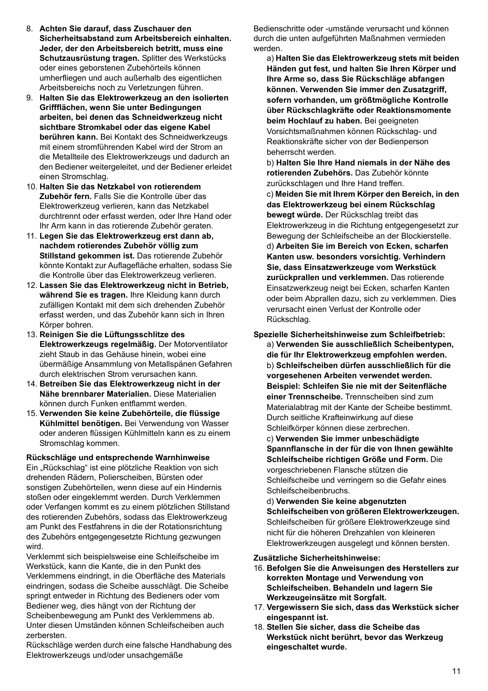- 8. **Achten Sie darauf, dass Zuschauer den Sicherheitsabstand zum Arbeitsbereich einhalten. Jeder, der den Arbeitsbereich betritt, muss eine Schutzausrüstung tragen.** Splitter des Werkstücks oder eines geborstenen Zubehörteils können umherfliegen und auch außerhalb des eigentlichen Arbeitsbereichs noch zu Verletzungen führen.
- 9. **Halten Sie das Elektrowerkzeug an den isolierten Griffflächen, wenn Sie unter Bedingungen arbeiten, bei denen das Schneidwerkzeug nicht sichtbare Stromkabel oder das eigene Kabel berühren kann.** Bei Kontakt des Schneidwerkzeugs mit einem stromführenden Kabel wird der Strom an die Metallteile des Elektrowerkzeugs und dadurch an den Bediener weitergeleitet, und der Bediener erleidet einen Stromschlag.
- 10. **Halten Sie das Netzkabel von rotierendem Zubehör fern.** Falls Sie die Kontrolle über das Elektrowerkzeug verlieren, kann das Netzkabel durchtrennt oder erfasst werden, oder Ihre Hand oder Ihr Arm kann in das rotierende Zubehör geraten.
- 11. **Legen Sie das Elektrowerkzeug erst dann ab, nachdem rotierendes Zubehör völlig zum Stillstand gekommen ist.** Das rotierende Zubehör könnte Kontakt zur Auflagefläche erhalten, sodass Sie die Kontrolle über das Elektrowerkzeug verlieren.
- 12. **Lassen Sie das Elektrowerkzeug nicht in Betrieb, während Sie es tragen.** Ihre Kleidung kann durch zufälligen Kontakt mit dem sich drehenden Zubehör erfasst werden, und das Zubehör kann sich in Ihren Körper bohren.
- 13. **Reinigen Sie die Lüftungsschlitze des Elektrowerkzeugs regelmäßig.** Der Motorventilator zieht Staub in das Gehäuse hinein, wobei eine übermäßige Ansammlung von Metallspänen Gefahren durch elektrischen Strom verursachen kann.
- 14. **Betreiben Sie das Elektrowerkzeug nicht in der Nähe brennbarer Materialien.** Diese Materialien können durch Funken entflammt werden.
- 15. **Verwenden Sie keine Zubehörteile, die flüssige Kühlmittel benötigen.** Bei Verwendung von Wasser oder anderen flüssigen Kühlmitteln kann es zu einem Stromschlag kommen.

#### **Rückschläge und entsprechende Warnhinweise**

Ein "Rückschlag" ist eine plötzliche Reaktion von sich drehenden Rädern, Polierscheiben, Bürsten oder sonstigen Zubehörteilen, wenn diese auf ein Hindernis stoßen oder eingeklemmt werden. Durch Verklemmen oder Verfangen kommt es zu einem plötzlichen Stillstand des rotierenden Zubehörs, sodass das Elektrowerkzeug am Punkt des Festfahrens in die der Rotationsrichtung des Zubehörs entgegengesetzte Richtung gezwungen wird.

Verklemmt sich beispielsweise eine Schleifscheibe im Werkstück, kann die Kante, die in den Punkt des Verklemmens eindringt, in die Oberfläche des Materials eindringen, sodass die Scheibe ausschlägt. Die Scheibe springt entweder in Richtung des Bedieners oder vom Bediener weg, dies hängt von der Richtung der Scheibenbewegung am Punkt des Verklemmens ab. Unter diesen Umständen können Schleifscheiben auch zerbersten.

Rückschläge werden durch eine falsche Handhabung des Elektrowerkzeugs und/oder unsachgemäße

Bedienschritte oder -umstände verursacht und können durch die unten aufgeführten Maßnahmen vermieden werden.

a) **Halten Sie das Elektrowerkzeug stets mit beiden Händen gut fest, und halten Sie Ihren Körper und Ihre Arme so, dass Sie Rückschläge abfangen können. Verwenden Sie immer den Zusatzgriff, sofern vorhanden, um größtmögliche Kontrolle über Rückschlagkräfte oder Reaktionsmomente beim Hochlauf zu haben.** Bei geeigneten Vorsichtsmaßnahmen können Rückschlag- und Reaktionskräfte sicher von der Bedienperson beherrscht werden.

b) **Halten Sie Ihre Hand niemals in der Nähe des rotierenden Zubehörs.** Das Zubehör könnte zurückschlagen und Ihre Hand treffen.

c) **Meiden Sie mit Ihrem Körper den Bereich, in den das Elektrowerkzeug bei einem Rückschlag bewegt würde.** Der Rückschlag treibt das Elektrowerkzeug in die Richtung entgegengesetzt zur Bewegung der Schleifscheibe an der Blockierstelle. d) **Arbeiten Sie im Bereich von Ecken, scharfen Kanten usw. besonders vorsichtig. Verhindern Sie, dass Einsatzwerkzeuge vom Werkstück zurückprallen und verklemmen.** Das rotierende Einsatzwerkzeug neigt bei Ecken, scharfen Kanten oder beim Abprallen dazu, sich zu verklemmen. Dies verursacht einen Verlust der Kontrolle oder Rückschlag.

**Spezielle Sicherheitshinweise zum Schleifbetrieb:**  a) **Verwenden Sie ausschließlich Scheibentypen, die für Ihr Elektrowerkzeug empfohlen werden.**  b) **Schleifscheiben dürfen ausschließlich für die vorgesehenen Arbeiten verwendet werden. Beispiel: Schleifen Sie nie mit der Seitenfläche einer Trennscheibe.** Trennscheiben sind zum Materialabtrag mit der Kante der Scheibe bestimmt. Durch seitliche Krafteinwirkung auf diese Schleifkörper können diese zerbrechen.

c) **Verwenden Sie immer unbeschädigte Spannflansche in der für die von Ihnen gewählte Schleifscheibe richtigen Größe und Form.** Die vorgeschriebenen Flansche stützen die Schleifscheibe und verringern so die Gefahr eines Schleifscheibenbruchs.

d) **Verwenden Sie keine abgenutzten Schleifscheiben von größeren Elektrowerkzeugen.** Schleifscheiben für größere Elektrowerkzeuge sind nicht für die höheren Drehzahlen von kleineren Elektrowerkzeugen ausgelegt und können bersten.

**Zusätzliche Sicherheitshinweise:** 

- 16. **Befolgen Sie die Anweisungen des Herstellers zur korrekten Montage und Verwendung von Schleifscheiben. Behandeln und lagern Sie Werkzeugeinsätze mit Sorgfalt.**
- 17. **Vergewissern Sie sich, dass das Werkstück sicher eingespannt ist.**
- 18. **Stellen Sie sicher, dass die Scheibe das Werkstück nicht berührt, bevor das Werkzeug eingeschaltet wurde.**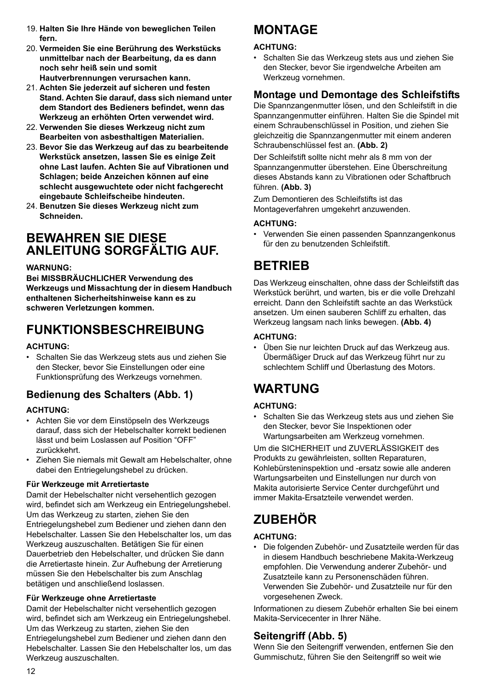- 19. **Halten Sie Ihre Hände von beweglichen Teilen fern.**
- 20. **Vermeiden Sie eine Berührung des Werkstücks unmittelbar nach der Bearbeitung, da es dann noch sehr heiß sein und somit Hautverbrennungen verursachen kann.**
- 21. **Achten Sie jederzeit auf sicheren und festen Stand. Achten Sie darauf, dass sich niemand unter dem Standort des Bedieners befindet, wenn das Werkzeug an erhöhten Orten verwendet wird.**
- 22. **Verwenden Sie dieses Werkzeug nicht zum Bearbeiten von asbesthaltigen Materialien.**
- 23. **Bevor Sie das Werkzeug auf das zu bearbeitende Werkstück ansetzen, lassen Sie es einige Zeit ohne Last laufen. Achten Sie auf Vibrationen und Schlagen; beide Anzeichen können auf eine schlecht ausgewuchtete oder nicht fachgerecht eingebaute Schleifscheibe hindeuten.**
- 24. **Benutzen Sie dieses Werkzeug nicht zum Schneiden.**

### **BEWAHREN SIE DIESE ANLEITUNG SORGFÄLTIG AUF.**

#### **WARNUNG:**

**Bei MISSBRÄUCHLICHER Verwendung des Werkzeugs und Missachtung der in diesem Handbuch enthaltenen Sicherheitshinweise kann es zu schweren Verletzungen kommen.**

## **FUNKTIONSBESCHREIBUNG**

#### **ACHTUNG:**

• Schalten Sie das Werkzeug stets aus und ziehen Sie den Stecker, bevor Sie Einstellungen oder eine Funktionsprüfung des Werkzeugs vornehmen.

### **Bedienung des Schalters (Abb. 1)**

#### **ACHTUNG:**

- Achten Sie vor dem Einstöpseln des Werkzeugs darauf, dass sich der Hebelschalter korrekt bedienen lässt und beim Loslassen auf Position "OFF" zurückkehrt.
- Ziehen Sie niemals mit Gewalt am Hebelschalter, ohne dabei den Entriegelungshebel zu drücken.

#### **Für Werkzeuge mit Arretiertaste**

Damit der Hebelschalter nicht versehentlich gezogen wird, befindet sich am Werkzeug ein Entriegelungshebel. Um das Werkzeug zu starten, ziehen Sie den Entriegelungshebel zum Bediener und ziehen dann den Hebelschalter. Lassen Sie den Hebelschalter los, um das Werkzeug auszuschalten. Betätigen Sie für einen Dauerbetrieb den Hebelschalter, und drücken Sie dann die Arretiertaste hinein. Zur Aufhebung der Arretierung müssen Sie den Hebelschalter bis zum Anschlag betätigen und anschließend loslassen.

#### **Für Werkzeuge ohne Arretiertaste**

Damit der Hebelschalter nicht versehentlich gezogen wird, befindet sich am Werkzeug ein Entriegelungshebel. Um das Werkzeug zu starten, ziehen Sie den Entriegelungshebel zum Bediener und ziehen dann den Hebelschalter. Lassen Sie den Hebelschalter los, um das Werkzeug auszuschalten.

# **MONTAGE**

#### **ACHTUNG:**

• Schalten Sie das Werkzeug stets aus und ziehen Sie den Stecker, bevor Sie irgendwelche Arbeiten am Werkzeug vornehmen.

### **Montage und Demontage des Schleifstifts**

Die Spannzangenmutter lösen, und den Schleifstift in die Spannzangenmutter einführen. Halten Sie die Spindel mit einem Schraubenschlüssel in Position, und ziehen Sie gleichzeitig die Spannzangenmutter mit einem anderen Schraubenschlüssel fest an. **(Abb. 2)**

Der Schleifstift sollte nicht mehr als 8 mm von der Spannzangenmutter überstehen. Eine Überschreitung dieses Abstands kann zu Vibrationen oder Schaftbruch führen. **(Abb. 3)**

Zum Demontieren des Schleifstifts ist das Montageverfahren umgekehrt anzuwenden.

#### **ACHTUNG:**

• Verwenden Sie einen passenden Spannzangenkonus für den zu benutzenden Schleifstift.

# **BETRIEB**

Das Werkzeug einschalten, ohne dass der Schleifstift das Werkstück berührt, und warten, bis er die volle Drehzahl erreicht. Dann den Schleifstift sachte an das Werkstück ansetzen. Um einen sauberen Schliff zu erhalten, das Werkzeug langsam nach links bewegen. **(Abb. 4)**

#### **ACHTUNG:**

• Üben Sie nur leichten Druck auf das Werkzeug aus. Übermäßiger Druck auf das Werkzeug führt nur zu schlechtem Schliff und Überlastung des Motors.

# **WARTUNG**

#### **ACHTUNG:**

• Schalten Sie das Werkzeug stets aus und ziehen Sie den Stecker, bevor Sie Inspektionen oder Wartungsarbeiten am Werkzeug vornehmen.

Um die SICHERHEIT und ZUVERLÄSSIGKEIT des Produkts zu gewährleisten, sollten Reparaturen, Kohlebürsteninspektion und -ersatz sowie alle anderen Wartungsarbeiten und Einstellungen nur durch von Makita autorisierte Service Center durchgeführt und immer Makita-Ersatzteile verwendet werden.

# **ZUBEHÖR**

#### **ACHTUNG:**

• Die folgenden Zubehör- und Zusatzteile werden für das in diesem Handbuch beschriebene Makita-Werkzeug empfohlen. Die Verwendung anderer Zubehör- und Zusatzteile kann zu Personenschäden führen. Verwenden Sie Zubehör- und Zusatzteile nur für den vorgesehenen Zweck.

Informationen zu diesem Zubehör erhalten Sie bei einem Makita-Servicecenter in Ihrer Nähe.

### **Seitengriff (Abb. 5)**

Wenn Sie den Seitengriff verwenden, entfernen Sie den Gummischutz, führen Sie den Seitengriff so weit wie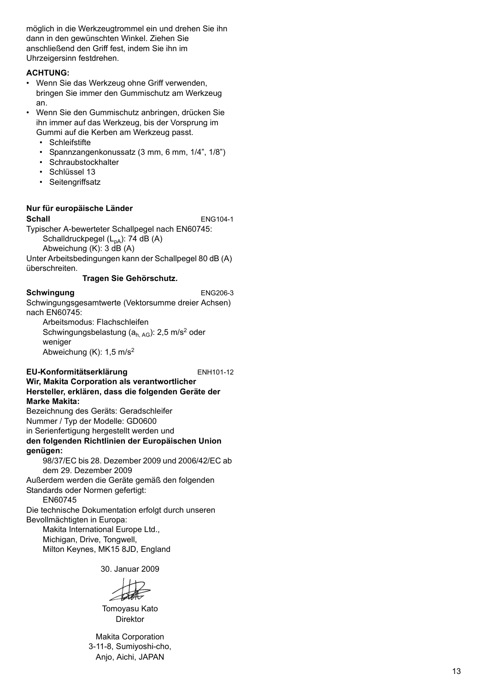möglich in die Werkzeugtrommel ein und drehen Sie ihn dann in den gewünschten Winkel. Ziehen Sie anschließend den Griff fest, indem Sie ihn im Uhrzeigersinn festdrehen.

#### **ACHTUNG:**

- Wenn Sie das Werkzeug ohne Griff verwenden, bringen Sie immer den Gummischutz am Werkzeug an.
- Wenn Sie den Gummischutz anbringen, drücken Sie ihn immer auf das Werkzeug, bis der Vorsprung im Gummi auf die Kerben am Werkzeug passt.
	- Schleifstifte
	- Spannzangenkonussatz (3 mm, 6 mm, 1/4", 1/8")
	- Schraubstockhalter
	- Schlüssel 13
	- Seitengriffsatz

#### **Nur für europäische Länder**

**Schall** ENG104-1

Typischer A-bewerteter Schallpegel nach EN60745: Schalldruckpegel  $(L_{pA})$ : 74 dB  $(A)$ Abweichung (K): 3 dB (A)

Unter Arbeitsbedingungen kann der Schallpegel 80 dB (A) überschreiten.

#### **Tragen Sie Gehörschutz.**

#### **Schwingung** ENG206-3

Schwingungsgesamtwerte (Vektorsumme dreier Achsen) nach EN60745:

Arbeitsmodus: Flachschleifen Schwingungsbelastung (a<sub>h, AG</sub>): 2,5 m/s<sup>2</sup> oder weniger Abweichung (K): 1,5 m/s<sup>2</sup>

#### **EU-Konformitätserklärung** ENH101-12

**Wir, Makita Corporation als verantwortlicher Hersteller, erklären, dass die folgenden Geräte der Marke Makita:** Bezeichnung des Geräts: Geradschleifer

Nummer / Typ der Modelle: GD0600

in Serienfertigung hergestellt werden und

**den folgenden Richtlinien der Europäischen Union genügen:**

98/37/EC bis 28. Dezember 2009 und 2006/42/EC ab dem 29. Dezember 2009

Außerdem werden die Geräte gemäß den folgenden Standards oder Normen gefertigt:

EN60745

Die technische Dokumentation erfolgt durch unseren Bevollmächtigten in Europa:

Makita International Europe Ltd., Michigan, Drive, Tongwell, Milton Keynes, MK15 8JD, England

30. Januar 2009

Tomoyasu Kato Direktor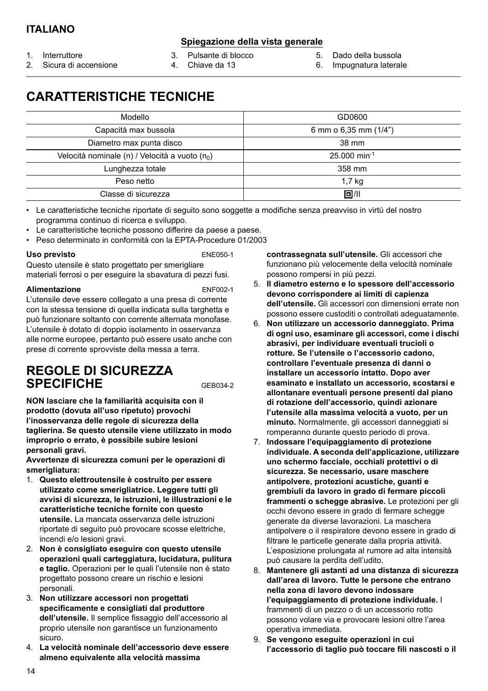#### **Spiegazione della vista generale**

- 1. Interruttore
- 2. Sicura di accensione

3. Pulsante di blocco

- 4. Chiave da 13
- 5. Dado della bussola
- 6. Impugnatura laterale

### **CARATTERISTICHE TECNICHE**

| Modello                                                    | GD0600                |
|------------------------------------------------------------|-----------------------|
| Capacità max bussola                                       | 6 mm o 6,35 mm (1/4") |
| Diametro max punta disco                                   | 38 mm                 |
| Velocità nominale (n) / Velocità a vuoto (n <sub>0</sub> ) | 25,000 min-1          |
| Lunghezza totale                                           | 358 mm                |
| Peso netto                                                 | 1.7 <sub>kg</sub>     |
| Classe di sicurezza                                        | 回川                    |

• Le caratteristiche tecniche riportate di seguito sono soggette a modifiche senza preavviso in virtù del nostro programma continuo di ricerca e sviluppo.

- Le caratteristiche tecniche possono differire da paese a paese.
- Peso determinato in conformità con la EPTA-Procedure 01/2003

#### Uso previsto **ENE050-1**

Questo utensile è stato progettato per smerigliare materiali ferrosi o per eseguire la sbavatura di pezzi fusi.

#### Alimentazione **ENF002-1**

L'utensile deve essere collegato a una presa di corrente con la stessa tensione di quella indicata sulla targhetta e può funzionare soltanto con corrente alternata monofase. L'utensile è dotato di doppio isolamento in osservanza alle norme europee, pertanto può essere usato anche con prese di corrente sprovviste della messa a terra.

### **REGOLE DI SICUREZZA SPECIFICHE** GEB034-2

**NON lasciare che la familiarità acquisita con il prodotto (dovuta all'uso ripetuto) provochi l'inosservanza delle regole di sicurezza della taglierina. Se questo utensile viene utilizzato in modo improprio o errato, è possibile subire lesioni personali gravi.**

**Avvertenze di sicurezza comuni per le operazioni di smerigliatura:** 

- 1. **Questo elettroutensile è costruito per essere utilizzato come smerigliatrice. Leggere tutti gli avvisi di sicurezza, le istruzioni, le illustrazioni e le caratteristiche tecniche fornite con questo utensile.** La mancata osservanza delle istruzioni riportate di seguito può provocare scosse elettriche, incendi e/o lesioni gravi.
- 2. **Non è consigliato eseguire con questo utensile operazioni quali carteggiatura, lucidatura, pulitura e taglio.** Operazioni per le quali l'utensile non è stato progettato possono creare un rischio e lesioni personali.
- 3. **Non utilizzare accessori non progettati specificamente e consigliati dal produttore dell'utensile.** Il semplice fissaggio dell'accessorio al proprio utensile non garantisce un funzionamento sicuro.
- 4. **La velocità nominale dell'accessorio deve essere almeno equivalente alla velocità massima**

**contrassegnata sull'utensile.** Gli accessori che funzionano più velocemente della velocità nominale possono rompersi in più pezzi.

- 5. **Il diametro esterno e lo spessore dell'accessorio devono corrispondere ai limiti di capienza dell'utensile.** Gli accessori con dimensioni errate non possono essere custoditi o controllati adeguatamente.
- 6. **Non utilizzare un accessorio danneggiato. Prima di ogni uso, esaminare gli accessori, come i dischi abrasivi, per individuare eventuali trucioli o rotture. Se l'utensile o l'accessorio cadono, controllare l'eventuale presenza di danni o installare un accessorio intatto. Dopo aver esaminato e installato un accessorio, scostarsi e allontanare eventuali persone presenti dal piano di rotazione dell'accessorio, quindi azionare l'utensile alla massima velocità a vuoto, per un minuto.** Normalmente, gli accessori danneggiati si romperanno durante questo periodo di prova.
- 7. **Indossare l'equipaggiamento di protezione individuale. A seconda dell'applicazione, utilizzare uno schermo facciale, occhiali protettivi o di sicurezza. Se necessario, usare maschere antipolvere, protezioni acustiche, guanti e grembiuli da lavoro in grado di fermare piccoli frammenti o schegge abrasive.** Le protezioni per gli occhi devono essere in grado di fermare schegge generate da diverse lavorazioni. La maschera antipolvere o il respiratore devono essere in grado di filtrare le particelle generate dalla propria attività. L'esposizione prolungata al rumore ad alta intensità può causare la perdita dell'udito.
- 8. **Mantenere gli astanti ad una distanza di sicurezza dall'area di lavoro. Tutte le persone che entrano nella zona di lavoro devono indossare l'equipaggiamento di protezione individuale.** I frammenti di un pezzo o di un accessorio rotto possono volare via e provocare lesioni oltre l'area operativa immediata.
- 9. **Se vengono eseguite operazioni in cui l'accessorio di taglio può toccare fili nascosti o il**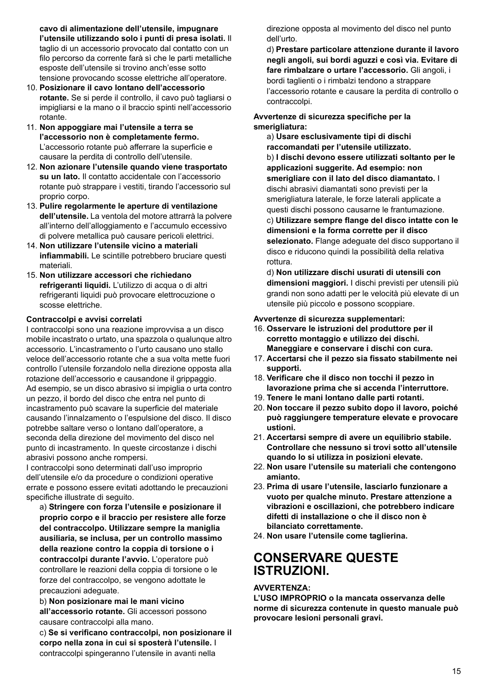**cavo di alimentazione dell'utensile, impugnare l'utensile utilizzando solo i punti di presa isolati.** Il taglio di un accessorio provocato dal contatto con un filo percorso da corrente farà sì che le parti metalliche esposte dell'utensile si trovino anch'esse sotto tensione provocando scosse elettriche all'operatore.

- 10. **Posizionare il cavo lontano dell'accessorio rotante.** Se si perde il controllo, il cavo può tagliarsi o impigliarsi e la mano o il braccio spinti nell'accessorio rotante.
- 11. **Non appoggiare mai l'utensile a terra se l'accessorio non è completamente fermo.** L'accessorio rotante può afferrare la superficie e causare la perdita di controllo dell'utensile.
- 12. **Non azionare l'utensile quando viene trasportato su un lato.** Il contatto accidentale con l'accessorio rotante può strappare i vestiti, tirando l'accessorio sul proprio corpo.
- 13. **Pulire regolarmente le aperture di ventilazione dell'utensile.** La ventola del motore attrarrà la polvere all'interno dell'alloggiamento e l'accumulo eccessivo di polvere metallica può causare pericoli elettrici.
- 14. **Non utilizzare l'utensile vicino a materiali infiammabili.** Le scintille potrebbero bruciare questi materiali.
- 15. **Non utilizzare accessori che richiedano refrigeranti liquidi.** L'utilizzo di acqua o di altri refrigeranti liquidi può provocare elettrocuzione o scosse elettriche.

#### **Contraccolpi e avvisi correlati**

I contraccolpi sono una reazione improvvisa a un disco mobile incastrato o urtato, una spazzola o qualunque altro accessorio. L'incastramento o l'urto causano uno stallo veloce dell'accessorio rotante che a sua volta mette fuori controllo l'utensile forzandolo nella direzione opposta alla rotazione dell'accessorio e causandone il grippaggio. Ad esempio, se un disco abrasivo si impiglia o urta contro un pezzo, il bordo del disco che entra nel punto di incastramento può scavare la superficie del materiale causando l'innalzamento o l'espulsione del disco. Il disco potrebbe saltare verso o lontano dall'operatore, a seconda della direzione del movimento del disco nel punto di incastramento. In queste circostanze i dischi abrasivi possono anche rompersi.

I contraccolpi sono determinati dall'uso improprio dell'utensile e/o da procedure o condizioni operative errate e possono essere evitati adottando le precauzioni specifiche illustrate di seguito.

a) **Stringere con forza l'utensile e posizionare il proprio corpo e il braccio per resistere alle forze del contraccolpo. Utilizzare sempre la maniglia ausiliaria, se inclusa, per un controllo massimo della reazione contro la coppia di torsione o i contraccolpi durante l'avvio.** L'operatore può controllare le reazioni della coppia di torsione o le forze del contraccolpo, se vengono adottate le precauzioni adeguate.

b) **Non posizionare mai le mani vicino all'accessorio rotante.** Gli accessori possono causare contraccolpi alla mano.

c) **Se si verificano contraccolpi, non posizionare il corpo nella zona in cui si sposterà l'utensile.** I contraccolpi spingeranno l'utensile in avanti nella

direzione opposta al movimento del disco nel punto dell'urto.

d) **Prestare particolare attenzione durante il lavoro negli angoli, sui bordi aguzzi e così via. Evitare di fare rimbalzare o urtare l'accessorio.** Gli angoli, i bordi taglienti o i rimbalzi tendono a strappare l'accessorio rotante e causare la perdita di controllo o contraccolpi.

#### **Avvertenze di sicurezza specifiche per la smerigliatura:**

a) **Usare esclusivamente tipi di dischi raccomandati per l'utensile utilizzato.**  b) **I dischi devono essere utilizzati soltanto per le applicazioni suggerite. Ad esempio: non smerigliare con il lato del disco diamantato.** I dischi abrasivi diamantati sono previsti per la smerigliatura laterale, le forze laterali applicate a questi dischi possono causarne le frantumazione. c) **Utilizzare sempre flange del disco intatte con le dimensioni e la forma corrette per il disco selezionato.** Flange adeguate del disco supportano il disco e riducono quindi la possibilità della relativa rottura.

d) **Non utilizzare dischi usurati di utensili con dimensioni maggiori.** I dischi previsti per utensili più grandi non sono adatti per le velocità più elevate di un utensile più piccolo e possono scoppiare.

#### **Avvertenze di sicurezza supplementari:**

- 16. **Osservare le istruzioni del produttore per il corretto montaggio e utilizzo dei dischi. Maneggiare e conservare i dischi con cura.**
- 17. **Accertarsi che il pezzo sia fissato stabilmente nei supporti.**
- 18. **Verificare che il disco non tocchi il pezzo in lavorazione prima che si accenda l'interruttore.**
- 19. **Tenere le mani lontano dalle parti rotanti.**
- 20. **Non toccare il pezzo subito dopo il lavoro, poiché può raggiungere temperature elevate e provocare ustioni.**
- 21. **Accertarsi sempre di avere un equilibrio stabile. Controllare che nessuno si trovi sotto all'utensile quando lo si utilizza in posizioni elevate.**
- 22. **Non usare l'utensile su materiali che contengono amianto.**
- 23. **Prima di usare l'utensile, lasciarlo funzionare a vuoto per qualche minuto. Prestare attenzione a vibrazioni e oscillazioni, che potrebbero indicare difetti di installazione o che il disco non è bilanciato correttamente.**
- 24. **Non usare l'utensile come taglierina.**

### **CONSERVARE QUESTE ISTRUZIONI.**

#### **AVVERTENZA:**

**L'USO IMPROPRIO o la mancata osservanza delle norme di sicurezza contenute in questo manuale può provocare lesioni personali gravi.**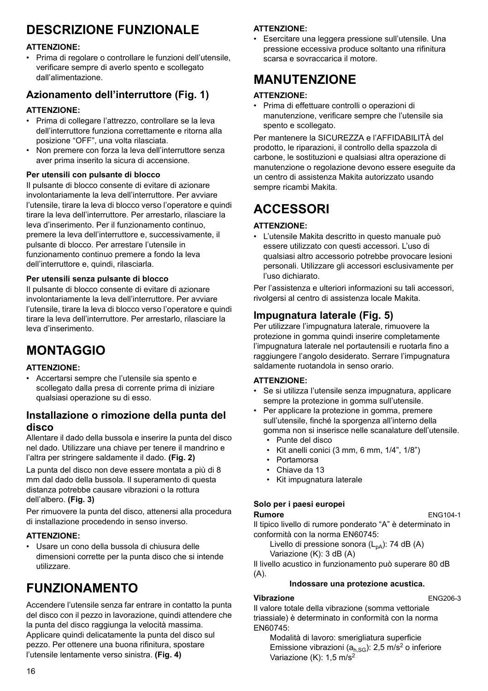# **DESCRIZIONE FUNZIONALE**

### **ATTENZIONE:**

• Prima di regolare o controllare le funzioni dell'utensile, verificare sempre di averlo spento e scollegato dall'alimentazione.

### **Azionamento dell'interruttore (Fig. 1)**

#### **ATTENZIONE:**

- Prima di collegare l'attrezzo, controllare se la leva dell'interruttore funziona correttamente e ritorna alla posizione "OFF", una volta rilasciata.
- Non premere con forza la leva dell'interruttore senza aver prima inserito la sicura di accensione.

#### **Per utensili con pulsante di blocco**

Il pulsante di blocco consente di evitare di azionare involontariamente la leva dell'interruttore. Per avviare l'utensile, tirare la leva di blocco verso l'operatore e quindi tirare la leva dell'interruttore. Per arrestarlo, rilasciare la leva d'inserimento. Per il funzionamento continuo, premere la leva dell'interruttore e, successivamente, il pulsante di blocco. Per arrestare l'utensile in funzionamento continuo premere a fondo la leva dell'interruttore e, quindi, rilasciarla.

#### **Per utensili senza pulsante di blocco**

Il pulsante di blocco consente di evitare di azionare involontariamente la leva dell'interruttore. Per avviare l'utensile, tirare la leva di blocco verso l'operatore e quindi tirare la leva dell'interruttore. Per arrestarlo, rilasciare la leva d'inserimento.

# **MONTAGGIO**

#### **ATTENZIONE:**

• Accertarsi sempre che l'utensile sia spento e scollegato dalla presa di corrente prima di iniziare qualsiasi operazione su di esso.

### **Installazione o rimozione della punta del disco**

Allentare il dado della bussola e inserire la punta del disco nel dado. Utilizzare una chiave per tenere il mandrino e l'altra per stringere saldamente il dado. **(Fig. 2)**

La punta del disco non deve essere montata a più di 8 mm dal dado della bussola. Il superamento di questa distanza potrebbe causare vibrazioni o la rottura dell'albero. **(Fig. 3)**

Per rimuovere la punta del disco, attenersi alla procedura di installazione procedendo in senso inverso.

#### **ATTENZIONE:**

• Usare un cono della bussola di chiusura delle dimensioni corrette per la punta disco che si intende utilizzare.

# **FUNZIONAMENTO**

Accendere l'utensile senza far entrare in contatto la punta del disco con il pezzo in lavorazione, quindi attendere che la punta del disco raggiunga la velocità massima. Applicare quindi delicatamente la punta del disco sul pezzo. Per ottenere una buona rifinitura, spostare l'utensile lentamente verso sinistra. **(Fig. 4)**

### **ATTENZIONE:**

• Esercitare una leggera pressione sull'utensile. Una pressione eccessiva produce soltanto una rifinitura scarsa e sovraccarica il motore.

## **MANUTENZIONE**

#### **ATTENZIONE:**

• Prima di effettuare controlli o operazioni di manutenzione, verificare sempre che l'utensile sia spento e scollegato.

Per mantenere la SICUREZZA e l'AFFIDABILITÀ del prodotto, le riparazioni, il controllo della spazzola di carbone, le sostituzioni e qualsiasi altra operazione di manutenzione o regolazione devono essere eseguite da un centro di assistenza Makita autorizzato usando sempre ricambi Makita.

# **ACCESSORI**

### **ATTENZIONE:**

• L'utensile Makita descritto in questo manuale può essere utilizzato con questi accessori. L'uso di qualsiasi altro accessorio potrebbe provocare lesioni personali. Utilizzare gli accessori esclusivamente per l'uso dichiarato.

Per l'assistenza e ulteriori informazioni su tali accessori, rivolgersi al centro di assistenza locale Makita.

### **Impugnatura laterale (Fig. 5)**

Per utilizzare l'impugnatura laterale, rimuovere la protezione in gomma quindi inserire completamente l'impugnatura laterale nel portautensili e ruotarla fino a raggiungere l'angolo desiderato. Serrare l'impugnatura saldamente ruotandola in senso orario.

#### **ATTENZIONE:**

- Se si utilizza l'utensile senza impugnatura, applicare sempre la protezione in gomma sull'utensile.
- Per applicare la protezione in gomma, premere sull'utensile, finché la sporgenza all'interno della gomma non si inserisce nelle scanalature dell'utensile. • Punte del disco
	-
	- $\cdot$  Kit anelli conici (3 mm, 6 mm, 1/4", 1/8")
	- Portamorsa
	- Chiave da 13
	- Kit impugnatura laterale

### **Solo per i paesi europei**

**Rumore** ENG104-1

Il tipico livello di rumore ponderato "A" è determinato in conformità con la norma EN60745:

Livello di pressione sonora  $(L_{pA})$ : 74 dB (A) Variazione (K): 3 dB (A)

Il livello acustico in funzionamento può superare 80 dB (A).

#### **Indossare una protezione acustica.**

#### **Vibrazione** ENG206-3

Il valore totale della vibrazione (somma vettoriale triassiale) è determinato in conformità con la norma EN60745:

Modalità di lavoro: smerigliatura superficie Emissione vibrazioni ( $a<sub>h,SG</sub>$ ): 2,5 m/s<sup>2</sup> o inferiore Variazione (K):  $1,5 \text{ m/s}^2$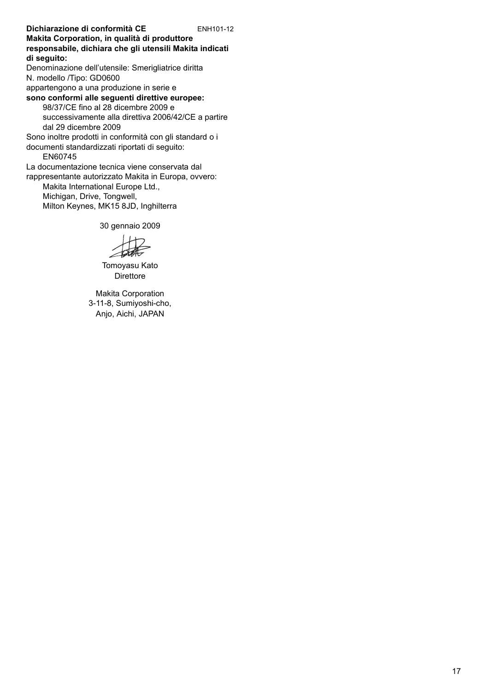**Dichiarazione di conformità CE** ENH101-12 **Makita Corporation, in qualità di produttore responsabile, dichiara che gli utensili Makita indicati di seguito:** Denominazione dell'utensile: Smerigliatrice diritta N. modello /Tipo: GD0600 appartengono a una produzione in serie e **sono conformi alle seguenti direttive europee:** 98/37/CE fino al 28 dicembre 2009 e successivamente alla direttiva 2006/42/CE a partire dal 29 dicembre 2009 Sono inoltre prodotti in conformità con gli standard o i documenti standardizzati riportati di seguito:

EN60745

La documentazione tecnica viene conservata dal rappresentante autorizzato Makita in Europa, ovvero:

Makita International Europe Ltd., Michigan, Drive, Tongwell, Milton Keynes, MK15 8JD, Inghilterra

30 gennaio 2009

Tomoyasu Kato **Direttore**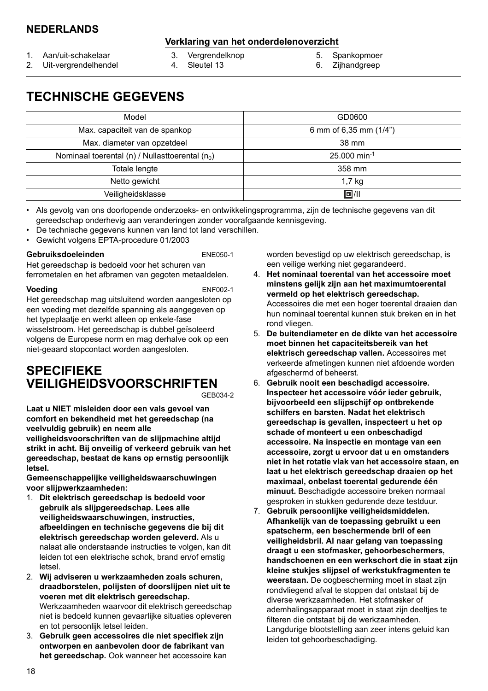### **NEDERLANDS**

### **Verklaring van het onderdelenoverzicht**

- 1. Aan/uit-schakelaar
- 2. Uit-vergrendelhendel
- 4. Sleutel 13

5. Spankopmoer 6. Zijhandgreep

- 
- 3. Vergrendelknop
- 

# **TECHNISCHE GEGEVENS**

| Model                                             | GD0600                     |
|---------------------------------------------------|----------------------------|
| Max. capaciteit van de spankop                    | 6 mm of 6,35 mm (1/4")     |
| Max. diameter van opzetdeel                       | 38 mm                      |
| Nominaal toerental (n) / Nullasttoerental $(n_0)$ | $25.000$ min <sup>-1</sup> |
| Totale lengte                                     | 358 mm                     |
| Netto gewicht                                     | 1.7 <sub>kg</sub>          |
| Veiligheidsklasse                                 | 回/11                       |

• Als gevolg van ons doorlopende onderzoeks- en ontwikkelingsprogramma, zijn de technische gegevens van dit gereedschap onderhevig aan veranderingen zonder voorafgaande kennisgeving.

- De technische gegevens kunnen van land tot land verschillen.
- Gewicht volgens EPTA-procedure 01/2003

#### **Gebruiksdoeleinden** ENE050-1

Het gereedschap is bedoeld voor het schuren van ferrometalen en het afbramen van gegoten metaaldelen.

**Voeding** ENF002-1

Het gereedschap mag uitsluitend worden aangesloten op een voeding met dezelfde spanning als aangegeven op het typeplaatje en werkt alleen op enkele-fase wisselstroom. Het gereedschap is dubbel geïsoleerd volgens de Europese norm en mag derhalve ook op een niet-geaard stopcontact worden aangesloten.

# **SPECIFIEKE VEILIGHEIDSVOORSCHRIFTEN**

GEB034-2

**Laat u NIET misleiden door een vals gevoel van comfort en bekendheid met het gereedschap (na veelvuldig gebruik) en neem alle** 

**veiligheidsvoorschriften van de slijpmachine altijd strikt in acht. Bij onveilig of verkeerd gebruik van het gereedschap, bestaat de kans op ernstig persoonlijk letsel.**

**Gemeenschappelijke veiligheidswaarschuwingen voor slijpwerkzaamheden:** 

- 1. **Dit elektrisch gereedschap is bedoeld voor gebruik als slijpgereedschap. Lees alle veiligheidswaarschuwingen, instructies, afbeeldingen en technische gegevens die bij dit elektrisch gereedschap worden geleverd.** Als u nalaat alle onderstaande instructies te volgen, kan dit leiden tot een elektrische schok, brand en/of ernstig letsel.
- 2. **Wij adviseren u werkzaamheden zoals schuren, draadborstelen, polijsten of doorslijpen niet uit te voeren met dit elektrisch gereedschap.** Werkzaamheden waarvoor dit elektrisch gereedschap niet is bedoeld kunnen gevaarlijke situaties opleveren en tot persoonlijk letsel leiden.
- 3. **Gebruik geen accessoires die niet specifiek zijn ontworpen en aanbevolen door de fabrikant van het gereedschap.** Ook wanneer het accessoire kan

worden bevestigd op uw elektrisch gereedschap, is een veilige werking niet gegarandeerd.

- 4. **Het nominaal toerental van het accessoire moet minstens gelijk zijn aan het maximumtoerental vermeld op het elektrisch gereedschap.** Accessoires die met een hoger toerental draaien dan hun nominaal toerental kunnen stuk breken en in het rond vliegen.
- 5. **De buitendiameter en de dikte van het accessoire moet binnen het capaciteitsbereik van het elektrisch gereedschap vallen.** Accessoires met verkeerde afmetingen kunnen niet afdoende worden afgeschermd of beheerst.
- 6. **Gebruik nooit een beschadigd accessoire. Inspecteer het accessoire vóór ieder gebruik, bijvoorbeeld een slijpschijf op ontbrekende schilfers en barsten. Nadat het elektrisch gereedschap is gevallen, inspecteert u het op schade of monteert u een onbeschadigd accessoire. Na inspectie en montage van een accessoire, zorgt u ervoor dat u en omstanders niet in het rotatie vlak van het accessoire staan, en laat u het elektrisch gereedschap draaien op het maximaal, onbelast toerental gedurende één minuut.** Beschadigde accessoire breken normaal gesproken in stukken gedurende deze testduur.
- 7. **Gebruik persoonlijke veiligheidsmiddelen. Afhankelijk van de toepassing gebruikt u een spatscherm, een beschermende bril of een veiligheidsbril. Al naar gelang van toepassing draagt u een stofmasker, gehoorbeschermers, handschoenen en een werkschort die in staat zijn kleine stukjes slijpsel of werkstukfragmenten te weerstaan.** De oogbescherming moet in staat zijn rondvliegend afval te stoppen dat ontstaat bij de diverse werkzaamheden. Het stofmasker of ademhalingsapparaat moet in staat zijn deeltjes te filteren die ontstaat bij de werkzaamheden. Langdurige blootstelling aan zeer intens geluid kan leiden tot gehoorbeschadiging.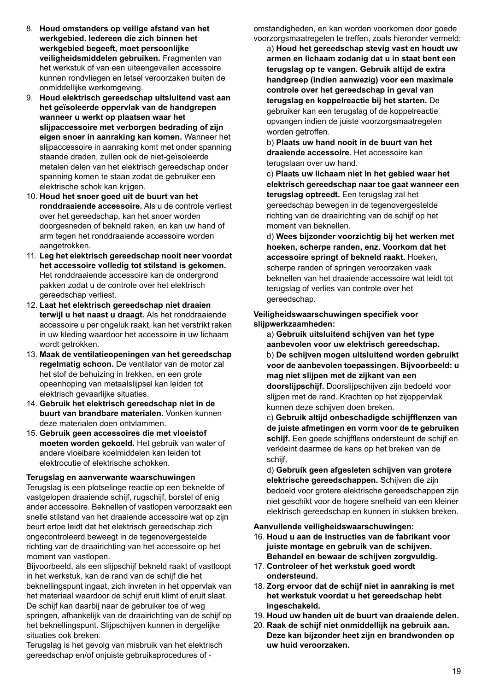- 8. **Houd omstanders op veilige afstand van het werkgebied. Iedereen die zich binnen het werkgebied begeeft, moet persoonlijke veiligheidsmiddelen gebruiken.** Fragmenten van het werkstuk of van een uiteengevallen accessoire kunnen rondvliegen en letsel veroorzaken buiten de onmiddellijke werkomgeving.
- 9. **Houd elektrisch gereedschap uitsluitend vast aan het geïsoleerde oppervlak van de handgrepen wanneer u werkt op plaatsen waar het slijpaccessoire met verborgen bedrading of zijn eigen snoer in aanraking kan komen.** Wanneer het slijpaccessoire in aanraking komt met onder spanning staande draden, zullen ook de niet-geïsoleerde metalen delen van het elektrisch gereedschap onder spanning komen te staan zodat de gebruiker een elektrische schok kan krijgen.
- 10. **Houd het snoer goed uit de buurt van het ronddraaiende accessoire.** Als u de controle verliest over het gereedschap, kan het snoer worden doorgesneden of bekneld raken, en kan uw hand of arm tegen het ronddraaiende accessoire worden aangetrokken.
- 11. **Leg het elektrisch gereedschap nooit neer voordat het accessoire volledig tot stilstand is gekomen.** Het ronddraaiende accessoire kan de ondergrond pakken zodat u de controle over het elektrisch gereedschap verliest.
- 12. **Laat het elektrisch gereedschap niet draaien terwijl u het naast u draagt.** Als het ronddraaiende accessoire u per ongeluk raakt, kan het verstrikt raken in uw kleding waardoor het accessoire in uw lichaam wordt getrokken.
- 13. **Maak de ventilatieopeningen van het gereedschap regelmatig schoon.** De ventilator van de motor zal het stof de behuizing in trekken, en een grote opeenhoping van metaalslijpsel kan leiden tot elektrisch gevaarlijke situaties.
- 14. **Gebruik het elektrisch gereedschap niet in de buurt van brandbare materialen.** Vonken kunnen deze materialen doen ontvlammen.
- 15. **Gebruik geen accessoires die met vloeistof moeten worden gekoeld.** Het gebruik van water of andere vloeibare koelmiddelen kan leiden tot elektrocutie of elektrische schokken.

#### **Terugslag en aanverwante waarschuwingen**

Terugslag is een plotselinge reactie op een beknelde of vastgelopen draaiende schijf, rugschijf, borstel of enig ander accessoire. Beknellen of vastlopen veroorzaakt een snelle stilstand van het draaiende accessoire wat op zijn beurt ertoe leidt dat het elektrisch gereedschap zich ongecontroleerd beweegt in de tegenovergestelde richting van de draairichting van het accessoire op het moment van vastlopen.

Bijvoorbeeld, als een slijpschijf bekneld raakt of vastloopt in het werkstuk, kan de rand van de schijf die het beknellingspunt ingaat, zich invreten in het oppervlak van het materiaal waardoor de schijf eruit klimt of eruit slaat. De schijf kan daarbij naar de gebruiker toe of weg springen, afhankelijk van de draairichting van de schijf op het beknellingspunt. Slijpschijven kunnen in dergelijke situaties ook breken.

Terugslag is het gevolg van misbruik van het elektrisch gereedschap en/of onjuiste gebruiksprocedures of -

omstandigheden, en kan worden voorkomen door goede voorzorgsmaatregelen te treffen, zoals hieronder vermeld:

a) **Houd het gereedschap stevig vast en houdt uw armen en lichaam zodanig dat u in staat bent een terugslag op te vangen. Gebruik altijd de extra handgreep (indien aanwezig) voor een maximale controle over het gereedschap in geval van terugslag en koppelreactie bij het starten.** De gebruiker kan een terugslag of de koppelreactie opvangen indien de juiste voorzorgsmaatregelen worden getroffen.

b) **Plaats uw hand nooit in de buurt van het draaiende accessoire.** Het accessoire kan terugslaan over uw hand.

c) **Plaats uw lichaam niet in het gebied waar het elektrisch gereedschap naar toe gaat wanneer een terugslag optreedt.** Een terugslag zal het gereedschap bewegen in de tegenovergestelde richting van de draairichting van de schijf op het moment van beknellen.

d) **Wees bijzonder voorzichtig bij het werken met hoeken, scherpe randen, enz. Voorkom dat het accessoire springt of bekneld raakt.** Hoeken, scherpe randen of springen veroorzaken vaak beknellen van het draaiende accessoire wat leidt tot terugslag of verlies van controle over het gereedschap.

#### **Veiligheidswaarschuwingen specifiek voor slijpwerkzaamheden:**

a) **Gebruik uitsluitend schijven van het type aanbevolen voor uw elektrisch gereedschap.**  b) **De schijven mogen uitsluitend worden gebruikt voor de aanbevolen toepassingen. Bijvoorbeeld: u mag niet slijpen met de zijkant van een doorslijpschijf.** Doorslijpschijven zijn bedoeld voor slijpen met de rand. Krachten op het zijoppervlak kunnen deze schijven doen breken.

c) **Gebruik altijd onbeschadigde schijfflenzen van de juiste afmetingen en vorm voor de te gebruiken schijf.** Een goede schijfflens ondersteunt de schijf en verkleint daarmee de kans op het breken van de schiif.

d) **Gebruik geen afgesleten schijven van grotere elektrische gereedschappen.** Schijven die zijn bedoeld voor grotere elektrische gereedschappen zijn niet geschikt voor de hogere snelheid van een kleiner elektrisch gereedschap en kunnen in stukken breken.

#### **Aanvullende veiligheidswaarschuwingen:**

- 16. **Houd u aan de instructies van de fabrikant voor juiste montage en gebruik van de schijven. Behandel en bewaar de schijven zorgvuldig.**
- 17. **Controleer of het werkstuk goed wordt ondersteund.**
- 18. **Zorg ervoor dat de schijf niet in aanraking is met het werkstuk voordat u het gereedschap hebt ingeschakeld.**
- 19. **Houd uw handen uit de buurt van draaiende delen.**
- 20. **Raak de schijf niet onmiddellijk na gebruik aan. Deze kan bijzonder heet zijn en brandwonden op uw huid veroorzaken.**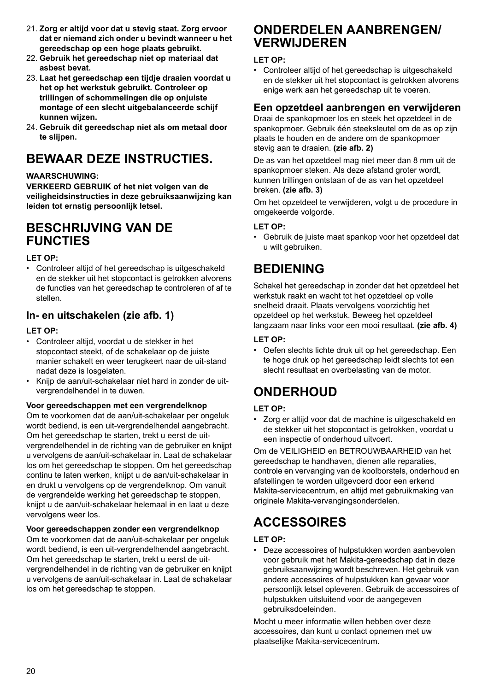- 21. **Zorg er altijd voor dat u stevig staat. Zorg ervoor dat er niemand zich onder u bevindt wanneer u het gereedschap op een hoge plaats gebruikt.**
- 22. **Gebruik het gereedschap niet op materiaal dat asbest bevat.**
- 23. **Laat het gereedschap een tijdje draaien voordat u het op het werkstuk gebruikt. Controleer op trillingen of schommelingen die op onjuiste montage of een slecht uitgebalanceerde schijf kunnen wijzen.**
- 24. **Gebruik dit gereedschap niet als om metaal door te slijpen.**

# **BEWAAR DEZE INSTRUCTIES.**

#### **WAARSCHUWING:**

**VERKEERD GEBRUIK of het niet volgen van de veiligheidsinstructies in deze gebruiksaanwijzing kan leiden tot ernstig persoonlijk letsel.**

### **BESCHRIJVING VAN DE FUNCTIES**

#### **LET OP:**

• Controleer altijd of het gereedschap is uitgeschakeld en de stekker uit het stopcontact is getrokken alvorens de functies van het gereedschap te controleren of af te stellen.

### **In- en uitschakelen (zie afb. 1)**

#### **LET OP:**

- Controleer altijd, voordat u de stekker in het stopcontact steekt, of de schakelaar op de juiste manier schakelt en weer terugkeert naar de uit-stand nadat deze is losgelaten.
- Knijp de aan/uit-schakelaar niet hard in zonder de uitvergrendelhendel in te duwen.

#### **Voor gereedschappen met een vergrendelknop**

Om te voorkomen dat de aan/uit-schakelaar per ongeluk wordt bediend, is een uit-vergrendelhendel aangebracht. Om het gereedschap te starten, trekt u eerst de uitvergrendelhendel in de richting van de gebruiker en knijpt u vervolgens de aan/uit-schakelaar in. Laat de schakelaar los om het gereedschap te stoppen. Om het gereedschap continu te laten werken, knijpt u de aan/uit-schakelaar in en drukt u vervolgens op de vergrendelknop. Om vanuit de vergrendelde werking het gereedschap te stoppen, knijpt u de aan/uit-schakelaar helemaal in en laat u deze vervolgens weer los.

#### **Voor gereedschappen zonder een vergrendelknop**

Om te voorkomen dat de aan/uit-schakelaar per ongeluk wordt bediend, is een uit-vergrendelhendel aangebracht. Om het gereedschap te starten, trekt u eerst de uitvergrendelhendel in de richting van de gebruiker en knijpt u vervolgens de aan/uit-schakelaar in. Laat de schakelaar los om het gereedschap te stoppen.

### **ONDERDELEN AANBRENGEN/ VERWIJDEREN**

#### **LET OP:**

• Controleer altijd of het gereedschap is uitgeschakeld en de stekker uit het stopcontact is getrokken alvorens enige werk aan het gereedschap uit te voeren.

### **Een opzetdeel aanbrengen en verwijderen**

Draai de spankopmoer los en steek het opzetdeel in de spankopmoer. Gebruik één steeksleutel om de as op zijn plaats te houden en de andere om de spankopmoer stevig aan te draaien. **(zie afb. 2)**

De as van het opzetdeel mag niet meer dan 8 mm uit de spankopmoer steken. Als deze afstand groter wordt, kunnen trillingen ontstaan of de as van het opzetdeel breken. **(zie afb. 3)**

Om het opzetdeel te verwijderen, volgt u de procedure in omgekeerde volgorde.

#### **LET OP:**

• Gebruik de juiste maat spankop voor het opzetdeel dat u wilt gebruiken.

# **BEDIENING**

Schakel het gereedschap in zonder dat het opzetdeel het werkstuk raakt en wacht tot het opzetdeel op volle snelheid draait. Plaats vervolgens voorzichtig het opzetdeel op het werkstuk. Beweeg het opzetdeel langzaam naar links voor een mooi resultaat. **(zie afb. 4)**

### **LET OP:**

• Oefen slechts lichte druk uit op het gereedschap. Een te hoge druk op het gereedschap leidt slechts tot een slecht resultaat en overbelasting van de motor.

# **ONDERHOUD**

#### **LET OP:**

• Zorg er altijd voor dat de machine is uitgeschakeld en de stekker uit het stopcontact is getrokken, voordat u een inspectie of onderhoud uitvoert.

Om de VEILIGHEID en BETROUWBAARHEID van het gereedschap te handhaven, dienen alle reparaties, controle en vervanging van de koolborstels, onderhoud en afstellingen te worden uitgevoerd door een erkend Makita-servicecentrum, en altijd met gebruikmaking van originele Makita-vervangingsonderdelen.

# **ACCESSOIRES**

#### **LET OP:**

• Deze accessoires of hulpstukken worden aanbevolen voor gebruik met het Makita-gereedschap dat in deze gebruiksaanwijzing wordt beschreven. Het gebruik van andere accessoires of hulpstukken kan gevaar voor persoonlijk letsel opleveren. Gebruik de accessoires of hulpstukken uitsluitend voor de aangegeven gebruiksdoeleinden.

Mocht u meer informatie willen hebben over deze accessoires, dan kunt u contact opnemen met uw plaatselijke Makita-servicecentrum.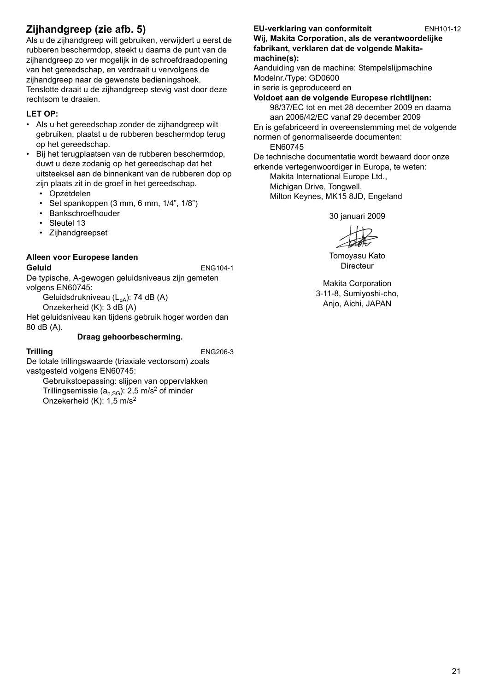### **Zijhandgreep (zie afb. 5)**

Als u de zijhandgreep wilt gebruiken, verwijdert u eerst de rubberen beschermdop, steekt u daarna de punt van de zijhandgreep zo ver mogelijk in de schroefdraadopening van het gereedschap, en verdraait u vervolgens de zijhandgreep naar de gewenste bedieningshoek. Tenslotte draait u de zijhandgreep stevig vast door deze rechtsom te draaien.

#### **LET OP:**

• Als u het gereedschap zonder de zijhandgreep wilt gebruiken, plaatst u de rubberen beschermdop terug op het gereedschap.

• Bij het terugplaatsen van de rubberen beschermdop, duwt u deze zodanig op het gereedschap dat het uitsteeksel aan de binnenkant van de rubberen dop op zijn plaats zit in de groef in het gereedschap.

- Opzetdelen
- Set spankoppen (3 mm, 6 mm, 1/4", 1/8")
- Bankschroefhouder
- Sleutel 13
- Zijhandgreepset

#### **Alleen voor Europese landen**

#### **Geluid** ENG104-1

De typische, A-gewogen geluidsniveaus zijn gemeten volgens EN60745:

Geluidsdrukniveau  $(L_{pA})$ : 74 dB  $(A)$ Onzekerheid (K): 3 dB (A)

Het geluidsniveau kan tijdens gebruik hoger worden dan 80 dB (A).

#### **Draag gehoorbescherming.**

**Trilling** ENG206-3 De totale trillingswaarde (triaxiale vectorsom) zoals vastgesteld volgens EN60745:

Gebruikstoepassing: slijpen van oppervlakken Trillingsemissie ( $a<sub>b</sub>$ <sub>SG</sub>): 2,5 m/s<sup>2</sup> of minder Onzekerheid (K): 1,5 m/s2

### **EU-verklaring van conformiteit** ENH101-12

**Wij, Makita Corporation, als de verantwoordelijke fabrikant, verklaren dat de volgende Makitamachine(s):**

Aanduiding van de machine: Stempelslijpmachine Modelnr./Type: GD0600

in serie is geproduceerd en

#### **Voldoet aan de volgende Europese richtlijnen:**

98/37/EC tot en met 28 december 2009 en daarna aan 2006/42/EC vanaf 29 december 2009 En is gefabriceerd in overeenstemming met de volgende

normen of genormaliseerde documenten: EN60745

De technische documentatie wordt bewaard door onze erkende vertegenwoordiger in Europa, te weten:

Makita International Europe Ltd., Michigan Drive, Tongwell,

Milton Keynes, MK15 8JD, Engeland

30 januari 2009

Tomoyasu Kato Directeur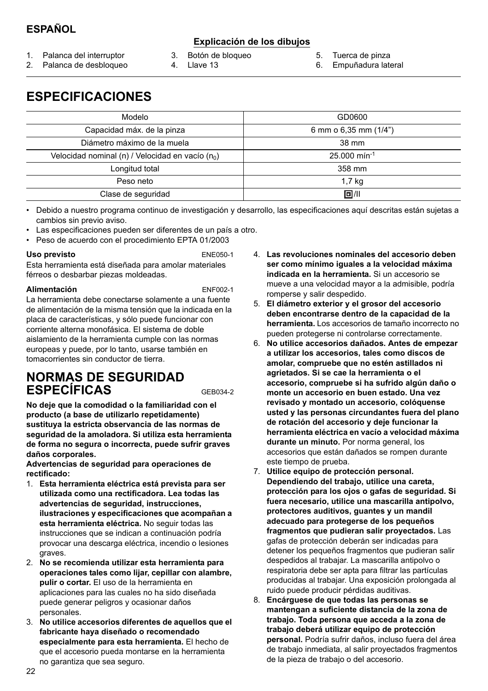### **ESPAÑOL**

### **Explicación de los dibujos**

- 1. Palanca del interruptor
- 
- 3. Botón de bloqueo 4. Llave 13
- 5. Tuerca de pinza
- 6. Empuñadura lateral

2. Palanca de desbloqueo

**ESPECIFICACIONES**

| Modelo                                                       | GD0600                     |
|--------------------------------------------------------------|----------------------------|
| Capacidad máx. de la pinza                                   | 6 mm o $6,35$ mm $(1/4")$  |
| Diámetro máximo de la muela                                  | 38 mm                      |
| Velocidad nominal (n) / Velocidad en vacío (n <sub>o</sub> ) | $25.000$ min <sup>-1</sup> |
| Longitud total                                               | 358 mm                     |
| Peso neto                                                    | 1,7 kg                     |
| Clase de seguridad                                           | 同川                         |

• Debido a nuestro programa continuo de investigación y desarrollo, las especificaciones aquí descritas están sujetas a cambios sin previo aviso.

- Las especificaciones pueden ser diferentes de un país a otro.
- Peso de acuerdo con el procedimiento EPTA 01/2003

#### Uso previsto **ENE050-1**

Esta herramienta está diseñada para amolar materiales férreos o desbarbar piezas moldeadas.

#### **Alimentación** ENF002-1

La herramienta debe conectarse solamente a una fuente de alimentación de la misma tensión que la indicada en la placa de características, y sólo puede funcionar con corriente alterna monofásica. El sistema de doble aislamiento de la herramienta cumple con las normas europeas y puede, por lo tanto, usarse también en tomacorrientes sin conductor de tierra.

### **NORMAS DE SEGURIDAD ESPECÍFICAS** GEB034-2

**No deje que la comodidad o la familiaridad con el producto (a base de utilizarlo repetidamente) sustituya la estricta observancia de las normas de seguridad de la amoladora. Si utiliza esta herramienta de forma no segura o incorrecta, puede sufrir graves daños corporales.**

**Advertencias de seguridad para operaciones de rectificado:** 

- 1. **Esta herramienta eléctrica está prevista para ser utilizada como una rectificadora. Lea todas las advertencias de seguridad, instrucciones, ilustraciones y especificaciones que acompañan a esta herramienta eléctrica.** No seguir todas las instrucciones que se indican a continuación podría provocar una descarga eléctrica, incendio o lesiones graves.
- 2. **No se recomienda utilizar esta herramienta para operaciones tales como lijar, cepillar con alambre, pulir o cortar.** El uso de la herramienta en aplicaciones para las cuales no ha sido diseñada puede generar peligros y ocasionar daños personales.
- 3. **No utilice accesorios diferentes de aquellos que el fabricante haya diseñado o recomendado especialmente para esta herramienta.** El hecho de que el accesorio pueda montarse en la herramienta no garantiza que sea seguro.
- 4. **Las revoluciones nominales del accesorio deben ser como mínimo iguales a la velocidad máxima indicada en la herramienta.** Si un accesorio se mueve a una velocidad mayor a la admisible, podría romperse y salir despedido.
- 5. **El diámetro exterior y el grosor del accesorio deben encontrarse dentro de la capacidad de la herramienta.** Los accesorios de tamaño incorrecto no pueden protegerse ni controlarse correctamente.
- 6. **No utilice accesorios dañados. Antes de empezar a utilizar los accesorios, tales como discos de amolar, compruebe que no estén astillados ni agrietados. Si se cae la herramienta o el accesorio, compruebe si ha sufrido algún daño o monte un accesorio en buen estado. Una vez revisado y montado un accesorio, colóquense usted y las personas circundantes fuera del plano de rotación del accesorio y deje funcionar la herramienta eléctrica en vacío a velocidad máxima durante un minuto.** Por norma general, los accesorios que están dañados se rompen durante este tiempo de prueba.
- 7. **Utilice equipo de protección personal. Dependiendo del trabajo, utilice una careta, protección para los ojos o gafas de seguridad. Si fuera necesario, utilice una mascarilla antipolvo, protectores auditivos, guantes y un mandil adecuado para protegerse de los pequeños fragmentos que pudieran salir proyectados.** Las gafas de protección deberán ser indicadas para detener los pequeños fragmentos que pudieran salir despedidos al trabajar. La mascarilla antipolvo o respiratoria debe ser apta para filtrar las partículas producidas al trabajar. Una exposición prolongada al ruido puede producir pérdidas auditivas.
- 8. **Encárguese de que todas las personas se mantengan a suficiente distancia de la zona de trabajo. Toda persona que acceda a la zona de trabajo deberá utilizar equipo de protección personal.** Podría sufrir daños, incluso fuera del área de trabajo inmediata, al salir proyectados fragmentos de la pieza de trabajo o del accesorio.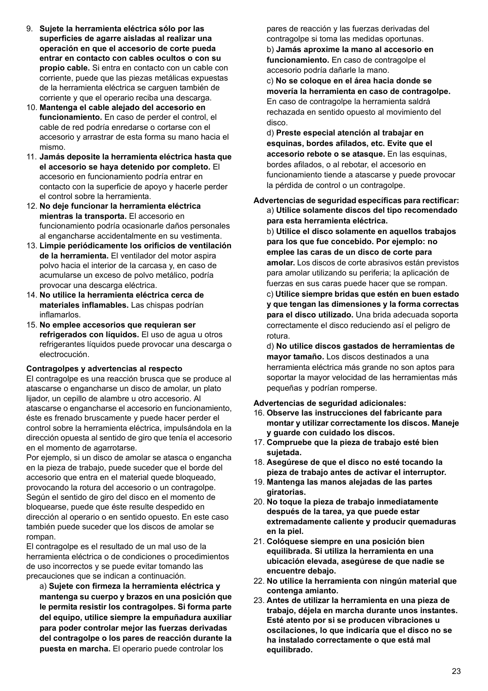- 9. **Sujete la herramienta eléctrica sólo por las superficies de agarre aisladas al realizar una operación en que el accesorio de corte pueda entrar en contacto con cables ocultos o con su propio cable.** Si entra en contacto con un cable con corriente, puede que las piezas metálicas expuestas de la herramienta eléctrica se carguen también de corriente y que el operario reciba una descarga.
- 10. **Mantenga el cable alejado del accesorio en funcionamiento.** En caso de perder el control, el cable de red podría enredarse o cortarse con el accesorio y arrastrar de esta forma su mano hacia el mismo.
- 11. **Jamás deposite la herramienta eléctrica hasta que el accesorio se haya detenido por completo.** El accesorio en funcionamiento podría entrar en contacto con la superficie de apoyo y hacerle perder el control sobre la herramienta.
- 12. **No deje funcionar la herramienta eléctrica mientras la transporta.** El accesorio en funcionamiento podría ocasionarle daños personales al engancharse accidentalmente en su vestimenta.
- 13. **Limpie periódicamente los orificios de ventilación de la herramienta.** El ventilador del motor aspira polvo hacia el interior de la carcasa y, en caso de acumularse un exceso de polvo metálico, podría provocar una descarga eléctrica.
- 14. **No utilice la herramienta eléctrica cerca de materiales inflamables.** Las chispas podrían inflamarlos.
- 15. **No emplee accesorios que requieran ser refrigerados con líquidos.** El uso de agua u otros refrigerantes líquidos puede provocar una descarga o electrocución.

#### **Contragolpes y advertencias al respecto**

El contragolpe es una reacción brusca que se produce al atascarse o engancharse un disco de amolar, un plato lijador, un cepillo de alambre u otro accesorio. Al atascarse o engancharse el accesorio en funcionamiento, éste es frenado bruscamente y puede hacer perder el control sobre la herramienta eléctrica, impulsándola en la dirección opuesta al sentido de giro que tenía el accesorio en el momento de agarrotarse.

Por ejemplo, si un disco de amolar se atasca o engancha en la pieza de trabajo, puede suceder que el borde del accesorio que entra en el material quede bloqueado, provocando la rotura del accesorio o un contragolpe. Según el sentido de giro del disco en el momento de bloquearse, puede que éste resulte despedido en dirección al operario o en sentido opuesto. En este caso también puede suceder que los discos de amolar se rompan.

El contragolpe es el resultado de un mal uso de la herramienta eléctrica o de condiciones o procedimientos de uso incorrectos y se puede evitar tomando las precauciones que se indican a continuación.

a) **Sujete con firmeza la herramienta eléctrica y mantenga su cuerpo y brazos en una posición que le permita resistir los contragolpes. Si forma parte del equipo, utilice siempre la empuñadura auxiliar para poder controlar mejor las fuerzas derivadas del contragolpe o los pares de reacción durante la puesta en marcha.** El operario puede controlar los

pares de reacción y las fuerzas derivadas del contragolpe si toma las medidas oportunas. b) **Jamás aproxime la mano al accesorio en funcionamiento.** En caso de contragolpe el accesorio podría dañarle la mano.

c) **No se coloque en el área hacia donde se movería la herramienta en caso de contragolpe.** En caso de contragolpe la herramienta saldrá rechazada en sentido opuesto al movimiento del disco.

d) **Preste especial atención al trabajar en esquinas, bordes afilados, etc. Evite que el accesorio rebote o se atasque.** En las esquinas, bordes afilados, o al rebotar, el accesorio en funcionamiento tiende a atascarse y puede provocar la pérdida de control o un contragolpe.

#### **Advertencias de seguridad específicas para rectificar:**  a) **Utilice solamente discos del tipo recomendado para esta herramienta eléctrica.**

b) **Utilice el disco solamente en aquellos trabajos para los que fue concebido. Por ejemplo: no emplee las caras de un disco de corte para amolar.** Los discos de corte abrasivos están previstos para amolar utilizando su periferia; la aplicación de fuerzas en sus caras puede hacer que se rompan.

c) **Utilice siempre bridas que estén en buen estado y que tengan las dimensiones y la forma correctas para el disco utilizado.** Una brida adecuada soporta correctamente el disco reduciendo así el peligro de rotura.

d) **No utilice discos gastados de herramientas de mayor tamaño.** Los discos destinados a una herramienta eléctrica más grande no son aptos para soportar la mayor velocidad de las herramientas más pequeñas y podrían romperse.

**Advertencias de seguridad adicionales:** 

- 16. **Observe las instrucciones del fabricante para montar y utilizar correctamente los discos. Maneje y guarde con cuidado los discos.**
- 17. **Compruebe que la pieza de trabajo esté bien sujetada.**
- 18. **Asegúrese de que el disco no esté tocando la pieza de trabajo antes de activar el interruptor.**
- 19. **Mantenga las manos alejadas de las partes giratorias.**
- 20. **No toque la pieza de trabajo inmediatamente después de la tarea, ya que puede estar extremadamente caliente y producir quemaduras en la piel.**
- 21. **Colóquese siempre en una posición bien equilibrada. Si utiliza la herramienta en una ubicación elevada, asegúrese de que nadie se encuentre debajo.**
- 22. **No utilice la herramienta con ningún material que contenga amianto.**
- 23. **Antes de utilizar la herramienta en una pieza de trabajo, déjela en marcha durante unos instantes. Esté atento por si se producen vibraciones u oscilaciones, lo que indicaría que el disco no se ha instalado correctamente o que está mal equilibrado.**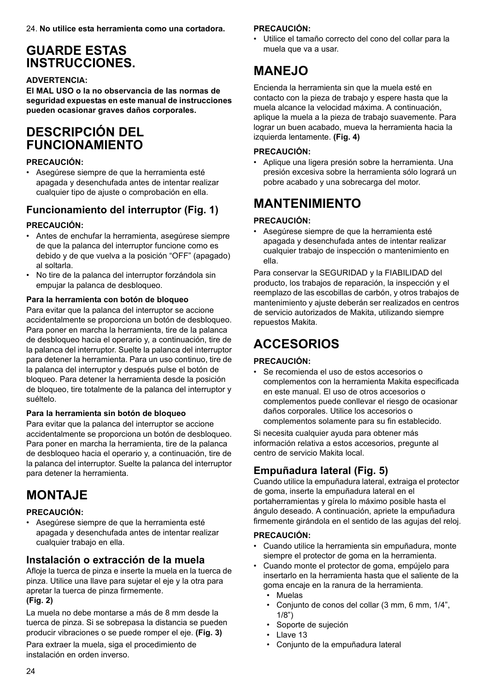## **GUARDE ESTAS INSTRUCCIONES.**

#### **ADVERTENCIA:**

**El MAL USO o la no observancia de las normas de seguridad expuestas en este manual de instrucciones pueden ocasionar graves daños corporales.**

### **DESCRIPCIÓN DEL FUNCIONAMIENTO**

#### **PRECAUCIÓN:**

• Asegúrese siempre de que la herramienta esté apagada y desenchufada antes de intentar realizar cualquier tipo de ajuste o comprobación en ella.

### **Funcionamiento del interruptor (Fig. 1)**

### **PRECAUCIÓN:**

- Antes de enchufar la herramienta, asegúrese siempre de que la palanca del interruptor funcione como es debido y de que vuelva a la posición "OFF" (apagado) al soltarla.
- No tire de la palanca del interruptor forzándola sin empujar la palanca de desbloqueo.

#### **Para la herramienta con botón de bloqueo**

Para evitar que la palanca del interruptor se accione accidentalmente se proporciona un botón de desbloqueo. Para poner en marcha la herramienta, tire de la palanca de desbloqueo hacia el operario y, a continuación, tire de la palanca del interruptor. Suelte la palanca del interruptor para detener la herramienta. Para un uso continuo, tire de la palanca del interruptor y después pulse el botón de bloqueo. Para detener la herramienta desde la posición de bloqueo, tire totalmente de la palanca del interruptor y suéltelo.

#### **Para la herramienta sin botón de bloqueo**

Para evitar que la palanca del interruptor se accione accidentalmente se proporciona un botón de desbloqueo. Para poner en marcha la herramienta, tire de la palanca de desbloqueo hacia el operario y, a continuación, tire de la palanca del interruptor. Suelte la palanca del interruptor para detener la herramienta.

# **MONTAJE**

### **PRECAUCIÓN:**

• Asegúrese siempre de que la herramienta esté apagada y desenchufada antes de intentar realizar cualquier trabajo en ella.

### **Instalación o extracción de la muela**

Afloje la tuerca de pinza e inserte la muela en la tuerca de pinza. Utilice una llave para sujetar el eje y la otra para apretar la tuerca de pinza firmemente. **(Fig. 2)**

La muela no debe montarse a más de 8 mm desde la tuerca de pinza. Si se sobrepasa la distancia se pueden producir vibraciones o se puede romper el eje. **(Fig. 3)**

Para extraer la muela, siga el procedimiento de instalación en orden inverso.

### **PRECAUCIÓN:**

• Utilice el tamaño correcto del cono del collar para la muela que va a usar.

## **MANEJO**

Encienda la herramienta sin que la muela esté en contacto con la pieza de trabajo y espere hasta que la muela alcance la velocidad máxima. A continuación, aplique la muela a la pieza de trabajo suavemente. Para lograr un buen acabado, mueva la herramienta hacia la izquierda lentamente. **(Fig. 4)**

#### **PRECAUCIÓN:**

• Aplique una ligera presión sobre la herramienta. Una presión excesiva sobre la herramienta sólo logrará un pobre acabado y una sobrecarga del motor.

# **MANTENIMIENTO**

### **PRECAUCIÓN:**

• Asegúrese siempre de que la herramienta esté apagada y desenchufada antes de intentar realizar cualquier trabajo de inspección o mantenimiento en ella.

Para conservar la SEGURIDAD y la FIABILIDAD del producto, los trabajos de reparación, la inspección y el reemplazo de las escobillas de carbón, y otros trabajos de mantenimiento y ajuste deberán ser realizados en centros de servicio autorizados de Makita, utilizando siempre repuestos Makita.

# **ACCESORIOS**

### **PRECAUCIÓN:**

• Se recomienda el uso de estos accesorios o complementos con la herramienta Makita especificada en este manual. El uso de otros accesorios o complementos puede conllevar el riesgo de ocasionar daños corporales. Utilice los accesorios o complementos solamente para su fin establecido.

Si necesita cualquier ayuda para obtener más información relativa a estos accesorios, pregunte al centro de servicio Makita local.

### **Empuñadura lateral (Fig. 5)**

Cuando utilice la empuñadura lateral, extraiga el protector de goma, inserte la empuñadura lateral en el portaherramientas y gírela lo máximo posible hasta el ángulo deseado. A continuación, apriete la empuñadura firmemente girándola en el sentido de las agujas del reloj.

#### **PRECAUCIÓN:**

- Cuando utilice la herramienta sin empuñadura, monte siempre el protector de goma en la herramienta.
- Cuando monte el protector de goma, empújelo para insertarlo en la herramienta hasta que el saliente de la goma encaje en la ranura de la herramienta.
	- Muelas
	- Conjunto de conos del collar (3 mm, 6 mm, 1/4", 1/8")
	- Soporte de sujeción
	- Llave 13
	- Conjunto de la empuñadura lateral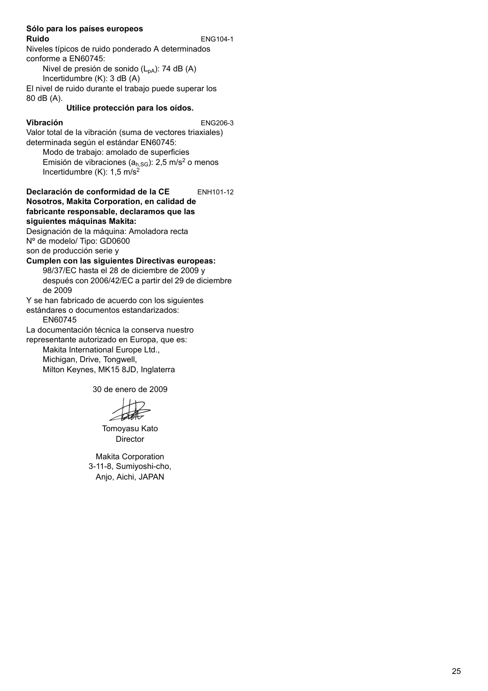#### **Sólo para los países europeos Ruido** ENG104-1

Niveles típicos de ruido ponderado A determinados conforme a EN60745:

Nivel de presión de sonido  $(L_{pA})$ : 74 dB  $(A)$ Incertidumbre (K): 3 dB (A)

El nivel de ruido durante el trabajo puede superar los 80 dB (A).

#### **Utilice protección para los oídos.**

#### **Vibración** ENG206-3

Valor total de la vibración (suma de vectores triaxiales) determinada según el estándar EN60745:

Modo de trabajo: amolado de superficies Emisión de vibraciones ( $a<sub>h,SG</sub>$ ): 2,5 m/s<sup>2</sup> o menos Incertidumbre  $(K)$ : 1,5 m/s<sup>2</sup>

#### **Declaración de conformidad de la CE** ENH101-12 **Nosotros, Makita Corporation, en calidad de fabricante responsable, declaramos que las siguientes máquinas Makita:**

Designación de la máquina: Amoladora recta Nº de modelo/ Tipo: GD0600

son de producción serie y

### **Cumplen con las siguientes Directivas europeas:**

98/37/EC hasta el 28 de diciembre de 2009 y después con 2006/42/EC a partir del 29 de diciembre de 2009

Y se han fabricado de acuerdo con los siguientes

estándares o documentos estandarizados: EN60745

La documentación técnica la conserva nuestro

representante autorizado en Europa, que es:

Makita International Europe Ltd., Michigan, Drive, Tongwell, Milton Keynes, MK15 8JD, Inglaterra

30 de enero de 2009

Tomoyasu Kato Director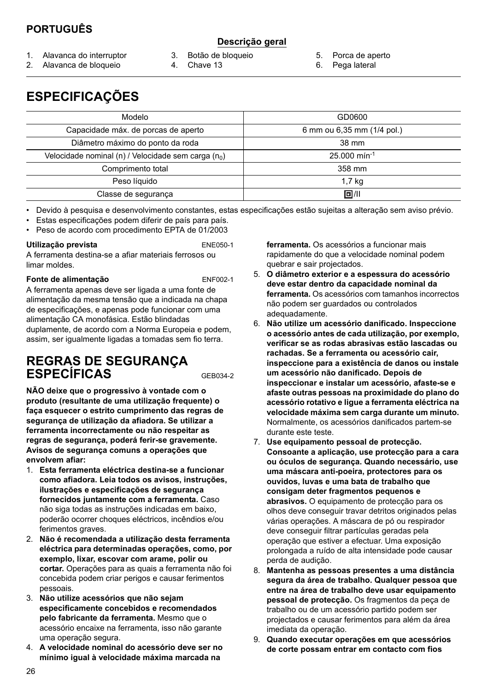### **PORTUGUÊS**

### **Descrição geral**

- 1. Alavanca do interruptor
- 2. Alavanca de bloqueio
- 3. Botão de bloqueio
- 4. Chave 13
- 5. Porca de aperto
- 6. Pega lateral

# **ESPECIFICAÇÕES**

| Modelo                                                          | GD0600                     |
|-----------------------------------------------------------------|----------------------------|
| Capacidade máx. de porcas de aperto                             | 6 mm ou 6,35 mm (1/4 pol.) |
| Diâmetro máximo do ponto da roda                                | 38 mm                      |
| Velocidade nominal (n) / Velocidade sem carga (n <sub>0</sub> ) | $25.000$ min <sup>-1</sup> |
| Comprimento total                                               | 358 mm                     |
| Peso líquido                                                    | 1,7 kg                     |
| Classe de segurança                                             | 回川                         |

• Devido à pesquisa e desenvolvimento constantes, estas especificações estão sujeitas a alteração sem aviso prévio.

- Estas especificações podem diferir de país para país.
- Peso de acordo com procedimento EPTA de 01/2003

#### **Utilização prevista** ENE050-1

A ferramenta destina-se a afiar materiais ferrosos ou limar moldes.

#### **Fonte de alimentação** ENF002-1

A ferramenta apenas deve ser ligada a uma fonte de alimentação da mesma tensão que a indicada na chapa de especificações, e apenas pode funcionar com uma alimentação CA monofásica. Estão blindadas duplamente, de acordo com a Norma Europeia e podem, assim, ser igualmente ligadas a tomadas sem fio terra.

### **REGRAS DE SEGURANÇA ESPECÍFICAS** GEB034-2

**NÃO deixe que o progressivo à vontade com o produto (resultante de uma utilização frequente) o faça esquecer o estrito cumprimento das regras de segurança de utilização da afiadora. Se utilizar a ferramenta incorrectamente ou não respeitar as regras de segurança, poderá ferir-se gravemente. Avisos de segurança comuns a operações que envolvem afiar:** 

- 1. **Esta ferramenta eléctrica destina-se a funcionar como afiadora. Leia todos os avisos, instruções, ilustrações e especificações de segurança fornecidos juntamente com a ferramenta.** Caso não siga todas as instruções indicadas em baixo, poderão ocorrer choques eléctricos, incêndios e/ou ferimentos graves.
- 2. **Não é recomendada a utilização desta ferramenta eléctrica para determinadas operações, como, por exemplo, lixar, escovar com arame, polir ou cortar.** Operações para as quais a ferramenta não foi concebida podem criar perigos e causar ferimentos pessoais.
- 3. **Não utilize acessórios que não sejam especificamente concebidos e recomendados pelo fabricante da ferramenta.** Mesmo que o acessório encaixe na ferramenta, isso não garante uma operação segura.
- 4. **A velocidade nominal do acessório deve ser no mínimo igual à velocidade máxima marcada na**

**ferramenta.** Os acessórios a funcionar mais rapidamente do que a velocidade nominal podem quebrar e sair projectados.

- 5. **O diâmetro exterior e a espessura do acessório deve estar dentro da capacidade nominal da ferramenta.** Os acessórios com tamanhos incorrectos não podem ser guardados ou controlados adequadamente.
- 6. **Não utilize um acessório danificado. Inspeccione o acessório antes de cada utilização, por exemplo, verificar se as rodas abrasivas estão lascadas ou rachadas. Se a ferramenta ou acessório cair, inspeccione para a existência de danos ou instale um acessório não danificado. Depois de inspeccionar e instalar um acessório, afaste-se e afaste outras pessoas na proximidade do plano do acessório rotativo e ligue a ferramenta eléctrica na velocidade máxima sem carga durante um minuto.** Normalmente, os acessórios danificados partem-se durante este teste.
- 7. **Use equipamento pessoal de protecção. Consoante a aplicação, use protecção para a cara ou óculos de segurança. Quando necessário, use uma máscara anti-poeira, protectores para os ouvidos, luvas e uma bata de trabalho que consigam deter fragmentos pequenos e abrasivos.** O equipamento de protecção para os olhos deve conseguir travar detritos originados pelas várias operações. A máscara de pó ou respirador deve conseguir filtrar partículas geradas pela operação que estiver a efectuar. Uma exposição prolongada a ruído de alta intensidade pode causar perda de audição.
- 8. **Mantenha as pessoas presentes a uma distância segura da área de trabalho. Qualquer pessoa que entre na área de trabalho deve usar equipamento pessoal de protecção.** Os fragmentos da peça de trabalho ou de um acessório partido podem ser projectados e causar ferimentos para além da área imediata da operação.
- 9. **Quando executar operações em que acessórios de corte possam entrar em contacto com fios**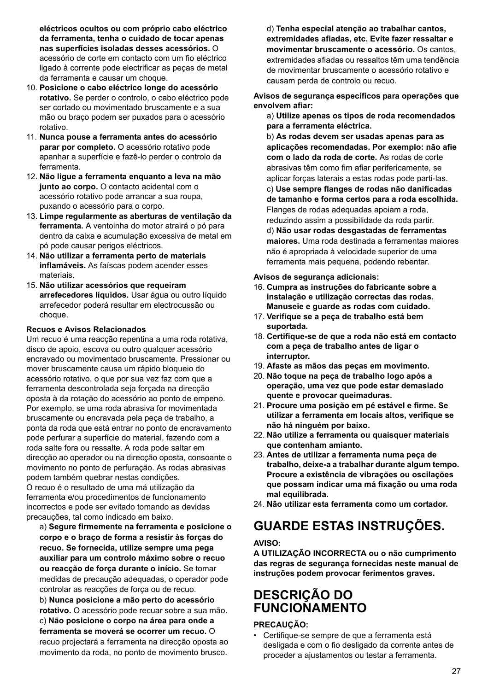**eléctricos ocultos ou com próprio cabo eléctrico da ferramenta, tenha o cuidado de tocar apenas nas superfícies isoladas desses acessórios.** O acessório de corte em contacto com um fio eléctrico ligado à corrente pode electrificar as peças de metal da ferramenta e causar um choque.

- 10. **Posicione o cabo eléctrico longe do acessório rotativo.** Se perder o controlo, o cabo eléctrico pode ser cortado ou movimentado bruscamente e a sua mão ou braço podem ser puxados para o acessório rotativo.
- 11. **Nunca pouse a ferramenta antes do acessório parar por completo.** O acessório rotativo pode apanhar a superfície e fazê-lo perder o controlo da ferramenta.
- 12. **Não ligue a ferramenta enquanto a leva na mão junto ao corpo.** O contacto acidental com o acessório rotativo pode arrancar a sua roupa, puxando o acessório para o corpo.
- 13. **Limpe regularmente as aberturas de ventilação da ferramenta.** A ventoinha do motor atrairá o pó para dentro da caixa e acumulação excessiva de metal em pó pode causar perigos eléctricos.
- 14. **Não utilizar a ferramenta perto de materiais inflamáveis.** As faíscas podem acender esses materiais.
- 15. **Não utilizar acessórios que requeiram arrefecedores líquidos.** Usar água ou outro líquido arrefecedor poderá resultar em electrocussão ou choque.

#### **Recuos e Avisos Relacionados**

Um recuo é uma reacção repentina a uma roda rotativa, disco de apoio, escova ou outro qualquer acessório encravado ou movimentado bruscamente. Pressionar ou mover bruscamente causa um rápido bloqueio do acessório rotativo, o que por sua vez faz com que a ferramenta descontrolada seja forçada na direcção oposta à da rotação do acessório ao ponto de empeno. Por exemplo, se uma roda abrasiva for movimentada bruscamente ou encravada pela peça de trabalho, a ponta da roda que está entrar no ponto de encravamento pode perfurar a superfície do material, fazendo com a roda salte fora ou ressalte. A roda pode saltar em direcção ao operador ou na direcção oposta, consoante o movimento no ponto de perfuração. As rodas abrasivas podem também quebrar nestas condições. O recuo é o resultado de uma má utilização da ferramenta e/ou procedimentos de funcionamento incorrectos e pode ser evitado tomando as devidas precauções, tal como indicado em baixo.

a) **Segure firmemente na ferramenta e posicione o corpo e o braço de forma a resistir às forças do recuo. Se fornecida, utilize sempre uma pega auxiliar para um controlo máximo sobre o recuo ou reacção de força durante o início.** Se tomar medidas de precaução adequadas, o operador pode controlar as reacções de força ou de recuo. b) **Nunca posicione a mão perto do acessório rotativo.** O acessório pode recuar sobre a sua mão. c) **Não posicione o corpo na área para onde a ferramenta se moverá se ocorrer um recuo.** O recuo projectará a ferramenta na direcção oposta ao movimento da roda, no ponto de movimento brusco.

d) **Tenha especial atenção ao trabalhar cantos, extremidades afiadas, etc. Evite fazer ressaltar e movimentar bruscamente o acessório.** Os cantos, extremidades afiadas ou ressaltos têm uma tendência de movimentar bruscamente o acessório rotativo e causam perda de controlo ou recuo.

**Avisos de segurança específicos para operações que envolvem afiar:** 

a) **Utilize apenas os tipos de roda recomendados para a ferramenta eléctrica.** 

b) **As rodas devem ser usadas apenas para as aplicações recomendadas. Por exemplo: não afie com o lado da roda de corte.** As rodas de corte abrasivas têm como fim afiar perifericamente, se aplicar forças laterais a estas rodas pode parti-las. c) **Use sempre flanges de rodas não danificadas de tamanho e forma certos para a roda escolhida.** Flanges de rodas adequadas apoiam a roda, reduzindo assim a possibilidade da roda partir. d) **Não usar rodas desgastadas de ferramentas maiores.** Uma roda destinada a ferramentas maiores não é apropriada à velocidade superior de uma ferramenta mais pequena, podendo rebentar.

#### **Avisos de segurança adicionais:**

- 16. **Cumpra as instruções do fabricante sobre a instalação e utilização correctas das rodas. Manuseie e guarde as rodas com cuidado.**
- 17. **Verifique se a peça de trabalho está bem suportada.**
- 18. **Certifique-se de que a roda não está em contacto com a peça de trabalho antes de ligar o interruptor.**
- 19. **Afaste as mãos das peças em movimento.**
- 20. **Não toque na peça de trabalho logo após a operação, uma vez que pode estar demasiado quente e provocar queimaduras.**
- 21. **Procure uma posição em pé estável e firme. Se utilizar a ferramenta em locais altos, verifique se não há ninguém por baixo.**
- 22. **Não utilize a ferramenta ou quaisquer materiais que contenham amianto.**
- 23. **Antes de utilizar a ferramenta numa peça de trabalho, deixe-a a trabalhar durante algum tempo. Procure a existência de vibrações ou oscilações que possam indicar uma má fixação ou uma roda mal equilibrada.**
- 24. **Não utilizar esta ferramenta como um cortador.**

# **GUARDE ESTAS INSTRUÇÕES.**

#### **AVISO:**

**A UTILIZAÇÃO INCORRECTA ou o não cumprimento das regras de segurança fornecidas neste manual de instruções podem provocar ferimentos graves.**

## **DESCRIÇÃO DO FUNCIONAMENTO**

#### **PRECAUÇÃO:**

• Certifique-se sempre de que a ferramenta está desligada e com o fio desligado da corrente antes de proceder a ajustamentos ou testar a ferramenta.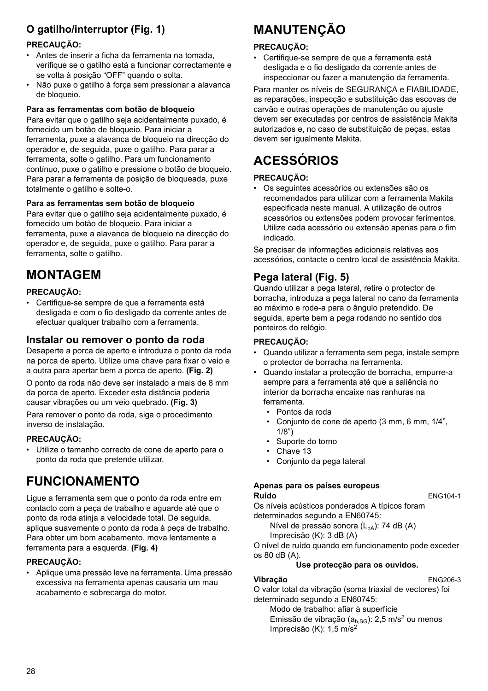### **O gatilho/interruptor (Fig. 1)**

### **PRECAUÇÃO:**

- Antes de inserir a ficha da ferramenta na tomada, verifique se o gatilho está a funcionar correctamente e se volta à posição "OFF" quando o solta.
- Não puxe o gatilho à força sem pressionar a alavanca de bloqueio.

#### **Para as ferramentas com botão de bloqueio**

Para evitar que o gatilho seja acidentalmente puxado, é fornecido um botão de bloqueio. Para iniciar a ferramenta, puxe a alavanca de bloqueio na direcção do operador e, de seguida, puxe o gatilho. Para parar a ferramenta, solte o gatilho. Para um funcionamento contínuo, puxe o gatilho e pressione o botão de bloqueio. Para parar a ferramenta da posição de bloqueada, puxe totalmente o gatilho e solte-o.

#### **Para as ferramentas sem botão de bloqueio**

Para evitar que o gatilho seja acidentalmente puxado, é fornecido um botão de bloqueio. Para iniciar a ferramenta, puxe a alavanca de bloqueio na direcção do operador e, de seguida, puxe o gatilho. Para parar a ferramenta, solte o gatilho.

# **MONTAGEM**

### **PRECAUÇÃO:**

• Certifique-se sempre de que a ferramenta está desligada e com o fio desligado da corrente antes de efectuar qualquer trabalho com a ferramenta.

### **Instalar ou remover o ponto da roda**

Desaperte a porca de aperto e introduza o ponto da roda na porca de aperto. Utilize uma chave para fixar o veio e a outra para apertar bem a porca de aperto. **(Fig. 2)**

O ponto da roda não deve ser instalado a mais de 8 mm da porca de aperto. Exceder esta distância poderia causar vibrações ou um veio quebrado. **(Fig. 3)**

Para remover o ponto da roda, siga o procedimento inverso de instalação.

#### **PRECAUÇÃO:**

• Utilize o tamanho correcto de cone de aperto para o ponto da roda que pretende utilizar.

# **FUNCIONAMENTO**

Ligue a ferramenta sem que o ponto da roda entre em contacto com a peça de trabalho e aguarde até que o ponto da roda atinja a velocidade total. De seguida, aplique suavemente o ponto da roda à peça de trabalho. Para obter um bom acabamento, mova lentamente a ferramenta para a esquerda. **(Fig. 4)**

#### **PRECAUÇÃO:**

• Aplique uma pressão leve na ferramenta. Uma pressão excessiva na ferramenta apenas causaria um mau acabamento e sobrecarga do motor.

# **MANUTENÇÃO**

#### **PRECAUÇÃO:**

• Certifique-se sempre de que a ferramenta está desligada e o fio desligado da corrente antes de inspeccionar ou fazer a manutenção da ferramenta.

Para manter os níveis de SEGURANÇA e FIABILIDADE, as reparações, inspecção e substituição das escovas de carvão e outras operações de manutenção ou ajuste devem ser executadas por centros de assistência Makita autorizados e, no caso de substituição de peças, estas devem ser igualmente Makita.

# **ACESSÓRIOS**

### **PRECAUÇÃO:**

• Os seguintes acessórios ou extensões são os recomendados para utilizar com a ferramenta Makita especificada neste manual. A utilização de outros acessórios ou extensões podem provocar ferimentos. Utilize cada acessório ou extensão apenas para o fim indicado.

Se precisar de informações adicionais relativas aos acessórios, contacte o centro local de assistência Makita.

### **Pega lateral (Fig. 5)**

Quando utilizar a pega lateral, retire o protector de borracha, introduza a pega lateral no cano da ferramenta ao máximo e rode-a para o ângulo pretendido. De seguida, aperte bem a pega rodando no sentido dos ponteiros do relógio.

#### **PRECAUÇÃO:**

- Quando utilizar a ferramenta sem pega, instale sempre o protector de borracha na ferramenta.
- Quando instalar a protecção de borracha, empurre-a sempre para a ferramenta até que a saliência no interior da borracha encaixe nas ranhuras na ferramenta.
	- Pontos da roda
	- Conjunto de cone de aperto (3 mm, 6 mm, 1/4", 1/8")
	- Suporte do torno
	- Chave 13
	- Conjunto da pega lateral

#### **Apenas para os países europeus**

**Ruído** ENG104-1

Os níveis acústicos ponderados A típicos foram determinados segundo a EN60745:

Nível de pressão sonora (L<sub>pA</sub>): 74 dB (A)

Imprecisão (K): 3 dB (A)

O nível de ruído quando em funcionamento pode exceder os 80 dB (A).

#### **Use protecção para os ouvidos.**

#### **Vibração** ENG206-3

O valor total da vibração (soma triaxial de vectores) foi determinado segundo a EN60745:

Modo de trabalho: afiar à superfície Emissão de vibração ( $a_{h,SG}$ ): 2,5 m/s<sup>2</sup> ou menos

Imprecisão (K): 1,5 m/s2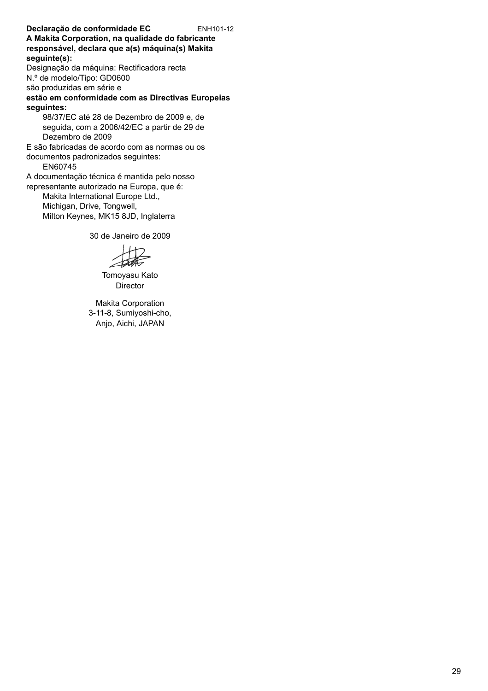**Declaração de conformidade EC** ENH101-12 **A Makita Corporation, na qualidade do fabricante responsável, declara que a(s) máquina(s) Makita seguinte(s):** Designação da máquina: Rectificadora recta N.º de modelo/Tipo: GD0600 são produzidas em série e **estão em conformidade com as Directivas Europeias seguintes:** 98/37/EC até 28 de Dezembro de 2009 e, de seguida, com a 2006/42/EC a partir de 29 de Dezembro de 2009 E são fabricadas de acordo com as normas ou os documentos padronizados seguintes: EN60745 A documentação técnica é mantida pelo nosso representante autorizado na Europa, que é: Makita International Europe Ltd., Michigan, Drive, Tongwell, Milton Keynes, MK15 8JD, Inglaterra

30 de Janeiro de 2009

Tomoyasu Kato Director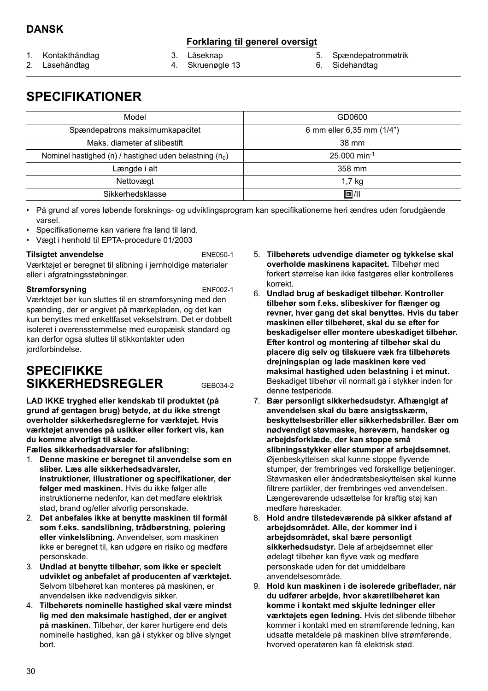### **Forklaring til generel oversigt**

- 1. Kontakthåndtag
- 2. Låsehåndtag

3. Låseknap 4. Skruenøgle 13

- 5. Spændepatronmøtrik
- 6. Sidehåndtag

# **SPECIFIKATIONER**

| Model                                                     | GD0600                     |
|-----------------------------------------------------------|----------------------------|
| Spændepatrons maksimumkapacitet                           | 6 mm eller 6,35 mm (1/4")  |
| Maks, diameter af slibestift                              | 38 mm                      |
| Nominel hastighed (n) / hastighed uden belastning $(n_0)$ | $25.000$ min <sup>-1</sup> |
| Længde i alt                                              | 358 mm                     |
| Nettovægt                                                 | 1,7 kg                     |
| Sikkerhedsklasse                                          | 回川                         |

• På grund af vores løbende forsknings- og udviklingsprogram kan specifikationerne heri ændres uden forudgående varsel.

- Specifikationerne kan variere fra land til land.
- Vægt i henhold til EPTA-procedure 01/2003

#### **Tilsigtet anvendelse** ENE050-1

Værktøjet er beregnet til slibning i jernholdige materialer eller i afgratningsstøbninger.

#### **Strømforsyning** ENF002-1

Værktøjet bør kun sluttes til en strømforsyning med den spænding, der er angivet på mærkepladen, og det kan kun benyttes med enkeltfaset vekselstrøm. Det er dobbelt isoleret i overensstemmelse med europæisk standard og kan derfor også sluttes til stikkontakter uden jordforbindelse.

### **SPECIFIKKE SIKKERHEDSREGLER** GEB034-2

**LAD IKKE tryghed eller kendskab til produktet (på grund af gentagen brug) betyde, at du ikke strengt overholder sikkerhedsreglerne for værktøjet. Hvis værktøjet anvendes på usikker eller forkert vis, kan du komme alvorligt til skade.**

**Fælles sikkerhedsadvarsler for afslibning:** 

- 1. **Denne maskine er beregnet til anvendelse som en sliber. Læs alle sikkerhedsadvarsler, instruktioner, illustrationer og specifikationer, der følger med maskinen.** Hvis du ikke følger alle instruktionerne nedenfor, kan det medføre elektrisk stød, brand og/eller alvorlig personskade.
- 2. **Det anbefales ikke at benytte maskinen til formål som f.eks. sandslibning, trådbørstning, polering eller vinkelslibning.** Anvendelser, som maskinen ikke er beregnet til, kan udgøre en risiko og medføre personskade.
- 3. **Undlad at benytte tilbehør, som ikke er specielt udviklet og anbefalet af producenten af værktøjet.** Selvom tilbehøret kan monteres på maskinen, er anvendelsen ikke nødvendigvis sikker.
- 4. **Tilbehørets nominelle hastighed skal være mindst lig med den maksimale hastighed, der er angivet på maskinen.** Tilbehør, der kører hurtigere end dets nominelle hastighed, kan gå i stykker og blive slynget bort.
- 5. **Tilbehørets udvendige diameter og tykkelse skal overholde maskinens kapacitet.** Tilbehør med forkert størrelse kan ikke fastgøres eller kontrolleres korrekt.
- 6. **Undlad brug af beskadiget tilbehør. Kontroller tilbehør som f.eks. slibeskiver for flænger og revner, hver gang det skal benyttes. Hvis du taber maskinen eller tilbehøret, skal du se efter for beskadigelser eller montere ubeskadiget tilbehør. Efter kontrol og montering af tilbehør skal du placere dig selv og tilskuere væk fra tilbehørets drejningsplan og lade maskinen køre ved maksimal hastighed uden belastning i et minut.** Beskadiget tilbehør vil normalt gå i stykker inden for denne testperiode.
- 7. **Bær personligt sikkerhedsudstyr. Afhængigt af anvendelsen skal du bære ansigtsskærm, beskyttelsesbriller eller sikkerhedsbriller. Bær om nødvendigt støvmaske, høreværn, handsker og arbejdsforklæde, der kan stoppe små slibningsstykker eller stumper af arbejdsemnet.**  Øjenbeskyttelsen skal kunne stoppe flyvende stumper, der frembringes ved forskellige betjeninger. Støvmasken eller åndedrætsbeskyttelsen skal kunne filtrere partikler, der frembringes ved anvendelsen. Længerevarende udsættelse for kraftig støj kan medføre høreskader.
- 8. **Hold andre tilstedeværende på sikker afstand af arbejdsområdet. Alle, der kommer ind i arbejdsområdet, skal bære personligt sikkerhedsudstyr.** Dele af arbejdsemnet eller ødelagt tilbehør kan flyve væk og medføre personskade uden for det umiddelbare anvendelsesområde.
- 9. **Hold kun maskinen i de isolerede gribeflader, når du udfører arbejde, hvor skæretilbehøret kan komme i kontakt med skjulte ledninger eller værktøjets egen ledning.** Hvis det slibende tilbehør kommer i kontakt med en strømførende ledning, kan udsatte metaldele på maskinen blive strømførende, hvorved operatøren kan få elektrisk stød.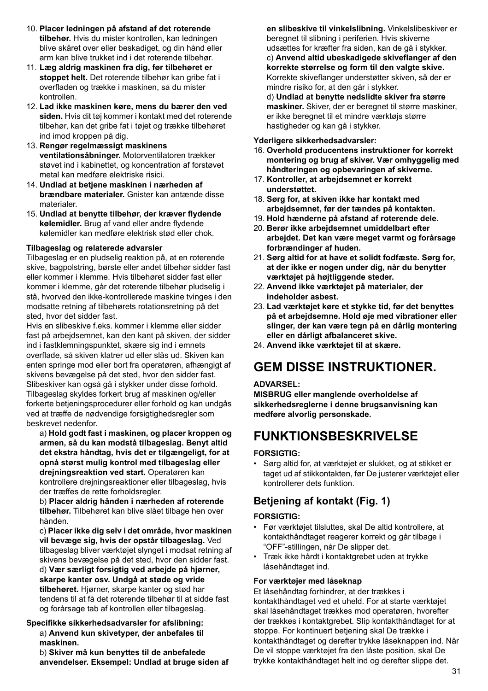- 10. **Placer ledningen på afstand af det roterende tilbehør.** Hvis du mister kontrollen, kan ledningen blive skåret over eller beskadiget, og din hånd eller arm kan blive trukket ind i det roterende tilbehør.
- 11. **Læg aldrig maskinen fra dig, før tilbehøret er stoppet helt.** Det roterende tilbehør kan gribe fat i overfladen og trække i maskinen, så du mister kontrollen.
- 12. **Lad ikke maskinen køre, mens du bærer den ved siden.** Hvis dit tøj kommer i kontakt med det roterende tilbehør, kan det gribe fat i tøjet og trække tilbehøret ind imod kroppen på dig.
- 13. **Rengør regelmæssigt maskinens ventilationsåbninger.** Motorventilatoren trækker støvet ind i kabinettet, og koncentration af forstøvet metal kan medføre elektriske risici.
- 14. **Undlad at betjene maskinen i nærheden af brændbare materialer.** Gnister kan antænde disse materialer.
- 15. **Undlad at benytte tilbehør, der kræver flydende kølemidler.** Brug af vand eller andre flydende kølemidler kan medføre elektrisk stød eller chok.

#### **Tilbageslag og relaterede advarsler**

Tilbageslag er en pludselig reaktion på, at en roterende skive, bagpolstring, børste eller andet tilbehør sidder fast eller kommer i klemme. Hvis tilbehøret sidder fast eller kommer i klemme, går det roterende tilbehør pludselig i stå, hvorved den ikke-kontrollerede maskine tvinges i den modsatte retning af tilbehørets rotationsretning på det sted, hvor det sidder fast.

Hvis en slibeskive f.eks. kommer i klemme eller sidder fast på arbejdsemnet, kan den kant på skiven, der sidder ind i fastklemningspunktet, skære sig ind i emnets overflade, så skiven klatrer ud eller slås ud. Skiven kan enten springe mod eller bort fra operatøren, afhængigt af skivens bevægelse på det sted, hvor den sidder fast. Slibeskiver kan også gå i stykker under disse forhold. Tilbageslag skyldes forkert brug af maskinen og/eller forkerte betjeningsprocedurer eller forhold og kan undgås ved at træffe de nødvendige forsigtighedsregler som beskrevet nedenfor.

a) **Hold godt fast i maskinen, og placer kroppen og armen, så du kan modstå tilbageslag. Benyt altid det ekstra håndtag, hvis det er tilgængeligt, for at opnå størst mulig kontrol med tilbageslag eller drejningsreaktion ved start.** Operatøren kan kontrollere drejningsreaktioner eller tilbageslag, hvis der træffes de rette forholdsregler.

b) **Placer aldrig hånden i nærheden af roterende tilbehør.** Tilbehøret kan blive slået tilbage hen over hånden.

c) **Placer ikke dig selv i det område, hvor maskinen vil bevæge sig, hvis der opstår tilbageslag.** Ved tilbageslag bliver værktøjet slynget i modsat retning af skivens bevægelse på det sted, hvor den sidder fast. d) **Vær særligt forsigtig ved arbejde på hjørner, skarpe kanter osv. Undgå at støde og vride tilbehøret.** Hjørner, skarpe kanter og stød har tendens til at få det roterende tilbehør til at sidde fast og forårsage tab af kontrollen eller tilbageslag.

#### **Specifikke sikkerhedsadvarsler for afslibning:**  a) **Anvend kun skivetyper, der anbefales til maskinen.**

b) **Skiver må kun benyttes til de anbefalede anvendelser. Eksempel: Undlad at bruge siden af**  **en slibeskive til vinkelslibning.** Vinkelslibeskiver er beregnet til slibning i periferien. Hvis skiverne udsættes for kræfter fra siden, kan de gå i stykker. c) **Anvend altid ubeskadigede skiveflanger af den korrekte størrelse og form til den valgte skive.** Korrekte skiveflanger understøtter skiven, så der er mindre risiko for, at den går i stykker.

d) **Undlad at benytte nedslidte skiver fra større maskiner.** Skiver, der er beregnet til større maskiner, er ikke beregnet til et mindre værktøjs større hastigheder og kan gå i stykker.

#### **Yderligere sikkerhedsadvarsler:**

- 16. **Overhold producentens instruktioner for korrekt montering og brug af skiver. Vær omhyggelig med håndteringen og opbevaringen af skiverne.**
- 17. **Kontroller, at arbejdsemnet er korrekt understøttet.**
- 18. **Sørg for, at skiven ikke har kontakt med arbejdsemnet, før der tændes på kontakten.**
- 19. **Hold hænderne på afstand af roterende dele.**
- 20. **Berør ikke arbejdsemnet umiddelbart efter arbejdet. Det kan være meget varmt og forårsage forbrændinger af huden.**
- 21. **Sørg altid for at have et solidt fodfæste. Sørg for, at der ikke er nogen under dig, når du benytter værktøjet på højtliggende steder.**
- 22. **Anvend ikke værktøjet på materialer, der indeholder asbest.**
- 23. **Lad værktøjet køre et stykke tid, før det benyttes på et arbejdsemne. Hold øje med vibrationer eller slinger, der kan være tegn på en dårlig montering eller en dårligt afbalanceret skive.**
- 24. **Anvend ikke værktøjet til at skære.**

# **GEM DISSE INSTRUKTIONER.**

#### **ADVARSEL:**

**MISBRUG eller manglende overholdelse af sikkerhedsreglerne i denne brugsanvisning kan medføre alvorlig personskade.**

# **FUNKTIONSBESKRIVELSE**

#### **FORSIGTIG:**

• Sørg altid for, at værktøjet er slukket, og at stikket er taget ud af stikkontakten, før De justerer værktøjet eller kontrollerer dets funktion.

### **Betjening af kontakt (Fig. 1)**

#### **FORSIGTIG:**

- Før værktøjet tilsluttes, skal De altid kontrollere, at kontakthåndtaget reagerer korrekt og går tilbage i "OFF"-stillingen, når De slipper det.
- Træk ikke hårdt i kontaktgrebet uden at trykke låsehåndtaget ind.

#### **For værktøjer med låseknap**

Et låsehåndtag forhindrer, at der trækkes i kontakthåndtaget ved et uheld. For at starte værktøjet skal låsehåndtaget trækkes mod operatøren, hvorefter der trækkes i kontaktgrebet. Slip kontakthåndtaget for at stoppe. For kontinuert betjening skal De trække i kontakthåndtaget og derefter trykke låseknappen ind. Når De vil stoppe værktøjet fra den låste position, skal De trykke kontakthåndtaget helt ind og derefter slippe det.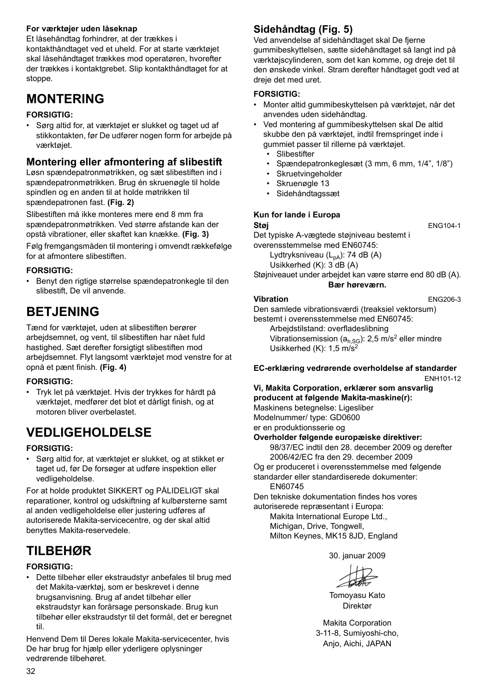#### **For værktøjer uden låseknap**

Et låsehåndtag forhindrer, at der trækkes i kontakthåndtaget ved et uheld. For at starte værktøjet skal låsehåndtaget trækkes mod operatøren, hvorefter der trækkes i kontaktgrebet. Slip kontakthåndtaget for at stoppe.

# **MONTERING**

#### **FORSIGTIG:**

• Sørg altid for, at værktøjet er slukket og taget ud af stikkontakten, før De udfører nogen form for arbejde på værktøjet.

### **Montering eller afmontering af slibestift**

Løsn spændepatronmøtrikken, og sæt slibestiften ind i spændepatronmøtrikken. Brug én skruenøgle til holde spindlen og en anden til at holde møtrikken til spændepatronen fast. **(Fig. 2)**

Slibestiften må ikke monteres mere end 8 mm fra spændepatronmøtrikken. Ved større afstande kan der opstå vibrationer, eller skaftet kan knække. **(Fig. 3)**

Følg fremgangsmåden til montering i omvendt rækkefølge for at afmontere slibestiften

#### **FORSIGTIG:**

• Benyt den rigtige størrelse spændepatronkegle til den slibestift, De vil anvende.

## **BETJENING**

Tænd for værktøjet, uden at slibestiften berører arbejdsemnet, og vent, til slibestiften har nået fuld hastighed. Sæt derefter forsigtigt slibestiften mod arbejdsemnet. Flyt langsomt værktøjet mod venstre for at opnå et pænt finish. **(Fig. 4)**

#### **FORSIGTIG:**

• Tryk let på værktøjet. Hvis der trykkes for hårdt på værktøjet, medfører det blot et dårligt finish, og at motoren bliver overbelastet.

# **VEDLIGEHOLDELSE**

#### **FORSIGTIG:**

• Sørg altid for, at værktøjet er slukket, og at stikket er taget ud, før De forsøger at udføre inspektion eller vedligeholdelse.

For at holde produktet SIKKERT og PÅLIDELIGT skal reparationer, kontrol og udskiftning af kulbørsterne samt al anden vedligeholdelse eller justering udføres af autoriserede Makita-servicecentre, og der skal altid benyttes Makita-reservedele.

### **TILBEHØR**

### **FORSIGTIG:**

• Dette tilbehør eller ekstraudstyr anbefales til brug med det Makita-værktøj, som er beskrevet i denne brugsanvisning. Brug af andet tilbehør eller ekstraudstyr kan forårsage personskade. Brug kun tilbehør eller ekstraudstyr til det formål, det er beregnet til.

Henvend Dem til Deres lokale Makita-servicecenter, hvis De har brug for hjælp eller yderligere oplysninger vedrørende tilbehøret.

### **Sidehåndtag (Fig. 5)**

Ved anvendelse af sidehåndtaget skal De fjerne gummibeskyttelsen, sætte sidehåndtaget så langt ind på værktøjscylinderen, som det kan komme, og dreje det til den ønskede vinkel. Stram derefter håndtaget godt ved at dreje det med uret.

#### **FORSIGTIG:**

- Monter altid gummibeskyttelsen på værktøjet, når det anvendes uden sidehåndtag.
- Ved montering af gummibeskyttelsen skal De altid skubbe den på værktøjet, indtil fremspringet inde i gummiet passer til rillerne på værktøjet.
	- Slibestifter
	- Spændepatronkeglesæt (3 mm, 6 mm, 1/4", 1/8")
	- Skruetvingeholder
	- Skruenøgle 13
	- Sidehåndtagssæt

#### **Kun for lande i Europa**

#### **Støj** ENG104-1

Det typiske A-vægtede støjniveau bestemt i overensstemmelse med EN60745:

Lydtryksniveau  $(L_{pA})$ : 74 dB  $(A)$ 

Usikkerhed (K): 3 dB (A)

Støjniveauet under arbejdet kan være større end 80 dB (A). **Bær høreværn.**

#### **Vibration** ENG206-3

Den samlede vibrationsværdi (treaksiel vektorsum)

bestemt i overensstemmelse med EN60745: Arbejdstilstand: overfladeslibning

Vibrationsemission ( $a<sub>h,SG</sub>$ ): 2,5 m/s<sup>2</sup> eller mindre Usikkerhed (K): 1,5 m/s2

#### **EC-erklæring vedrørende overholdelse af standarder**

ENH101-12

#### **Vi, Makita Corporation, erklærer som ansvarlig producent at følgende Makita-maskine(r):**

Maskinens betegnelse: Ligesliber Modelnummer/ type: GD0600

er en produktionsserie og

**Overholder følgende europæiske direktiver:** 98/37/EC indtil den 28. december 2009 og derefter

- 2006/42/EC fra den 29. december 2009 Og er produceret i overensstemmelse med følgende
- standarder eller standardiserede dokumenter:

EN60745

Den tekniske dokumentation findes hos vores autoriserede repræsentant i Europa:

Makita International Europe Ltd., Michigan, Drive, Tongwell, Milton Keynes, MK15 8JD, England

30. januar 2009

Tomoyasu Kato Direktør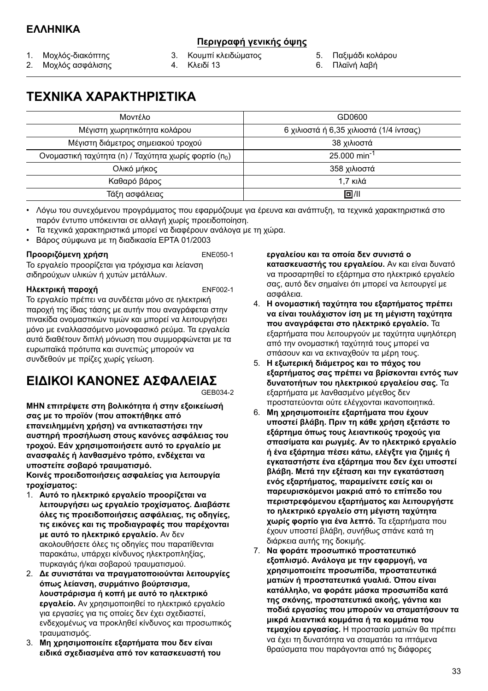### **Περιγραφή γενικής όψης**

- 1. Μοχλός-διακόπτης
- 2. Μοχλός ασφάλισης
- 3. Κουμπί κλειδώματος 4. Κλειδί 13
	-
- 5. Παξιμάδι κολάρου
- 6. Πλαϊνή λαβή

# **ΤΕΧΝΙΚΑ ΧΑΡΑΚΤΗΡΙΣΤΙΚΑ**

| Μοντέλο                                                           | GD0600                                  |
|-------------------------------------------------------------------|-----------------------------------------|
| Μέγιστη χωρητικότητα κολάρου                                      | 6 χιλιοστά ή 6,35 χιλιοστά (1/4 ίντσας) |
| Μέγιστη διάμετρος σημειακού τροχού                                | 38 χιλιοστά                             |
| Ονομαστική ταχύτητα (n) / Ταχύτητα χωρίς φορτίο (n <sub>0</sub> ) | $25.000$ min <sup>-1</sup>              |
| Ολικό μήκος                                                       | 358 χιλιοστά                            |
| Καθαρό βάρος                                                      | 1.7 κιλά                                |
| Τάξη ασφάλειας                                                    | 回川                                      |

• Λόγω του συνεχόμενου προγράμματος που εφαρμόζουμε για έρευνα και ανάπτυξη, τα τεχνικά χαρακτηριστικά στο παρόν έντυπο υπόκεινται σε αλλαγή χωρίς προειδοποίηση.

- Τα τεχνικά χαρακτηριστικά μπορεί να διαφέρουν ανάλογα με τη χώρα.
- Βάρος σύμφωνα με τη διαδικασία EPTA 01/2003

#### **Προοριζόμενη χρήση** ENE050-1

Το εργαλείο προορίζεται για τρόχισμα και λείανση σιδηρούχων υλικών ή χυτών μετάλλων.

#### **Ηλεκτρική παροχή** ENF002-1

Το εργαλείο πρέπει να συνδέεται μόνο σε ηλεκτρική παροχή της ίδιας τάσης με αυτήν που αναγράφεται στην πινακίδα ονομαστικών τιμών και μπορεί να λειτουργήσει μόνο με εναλλασσόμενο μονοφασικό ρεύμα. Τα εργαλεία αυτά διαθέτουν διπλή μόνωση που συμμορφώνεται με τα ευρωπαϊκά πρότυπα και συνεπώς μπορούν να συνδεθούν με πρίζες χωρίς γείωση.

# **ΕΙΔΙΚΟΙ ΚΑΝΟΝΕΣ ΑΣΦΑΛΕΙΑΣ**

GEB034-2

**ΜΗΝ επιτρέψετε στη βολικότητα ή στην εξοικείωσή σας με το προϊόν (που αποκτήθηκε από επανειλημμένη χρήση) να αντικαταστήσει την αυστηρή προσήλωση στους κανόνες ασφάλειας του τροχού. Εάν χρησιμοποιήσετε αυτό το εργαλείο με ανασφαλές ή λανθασμένο τρόπο, ενδέχεται να υποστείτε σοβαρό τραυματισμό.**

**Κοινές προειδοποιήσεις ασφαλείας για λειτουργία τροχίσματος:** 

- 1. **Αυτό το ηλεκτρικό εργαλείο προορίζεται να λειτουργήσει ως εργαλείο τροχίσματος. Διαβάστε όλες τις προειδοποιήσεις ασφάλειας, τις οδηγίες, τις εικόνες και τις προδιαγραφές που παρέχονται με αυτό το ηλεκτρικό εργαλείο.** Αν δεν ακολουθήσετε όλες τις οδηγίες που παρατίθενται παρακάτω, υπάρχει κίνδυνος ηλεκτροπληξίας, πυρκαγιάς ή/και σοβαρού τραυματισμού.
- 2. **Δε συνιστάται να πραγματοποιούνται λειτουργίες όπως λείανση, συρμάτινο βούρτσισμα, λουστράρισμα ή κοπή με αυτό το ηλεκτρικό εργαλείο.** Αν χρησιμοποιηθεί το ηλεκτρικό εργαλείο για εργασίες για τις οποίες δεν έχει σχεδιαστεί, ενδεχομένως να προκληθεί κίνδυνος και προσωπικός τραυματισμός.
- 3. **Μη χρησιμοποιείτε εξαρτήματα που δεν είναι ειδικά σχεδιασμένα από τον κατασκευαστή του**

**εργαλείου και τα οποία δεν συνιστά ο κατασκευαστής του εργαλείου.** Αν και είναι δυνατό να προσαρτηθεί το εξάρτημα στο ηλεκτρικό εργαλείο σας, αυτό δεν σημαίνει ότι μπορεί να λειτουργεί με ασφάλεια.

- 4. **Η ονομαστική ταχύτητα του εξαρτήματος πρέπει να είναι τουλάχιστον ίση με τη μέγιστη ταχύτητα που αναγράφεται στο ηλεκτρικό εργαλείο.** Τα εξαρτήματα που λειτουργούν με ταχύτητα υψηλότερη από την ονομαστική ταχύτητά τους μπορεί να σπάσουν και να εκτιναχθούν τα μέρη τους.
- 5. **Η εξωτερική διάμετρος και το πάχος του εξαρτήματος σας πρέπει να βρίσκονται εντός των δυνατοτήτων του ηλεκτρικού εργαλείου σας.** Τα εξαρτήματα με λανθασμένο μέγεθος δεν προστατεύονται ούτε ελέγχονται ικανοποιητικά.
- 6. **Μη χρησιμοποιείτε εξαρτήματα που έχουν υποστεί βλάβη. Πριν τη κάθε χρήση εξετάστε το εξάρτημα όπως τους λειαντικούς τροχούς για σπασίματα και ρωγμές. Αν το ηλεκτρικό εργαλείο ή ένα εξάρτημα πέσει κάτω, ελέγξτε για ζημιές ή εγκαταστήστε ένα εξάρτημα που δεν έχει υποστεί βλάβη. Μετά την εξέταση και την εγκατάσταση ενός εξαρτήματος, παραμείνετε εσείς και οι παρευρισκόμενοι μακριά από το επίπεδο του περιστρεφόμενου εξαρτήματος και λειτουργήστε το ηλεκτρικό εργαλείο στη μέγιστη ταχύτητα χωρίς φορτίο για ένα λεπτό.** Τα εξαρτήματα που έχουν υποστεί βλάβη, συνήθως σπάνε κατά τη διάρκεια αυτής της δοκιμής.
- 7. **Να φοράτε προσωπικό προστατευτικό εξοπλισμό. Ανάλογα με την εφαρμογή, να χρησιμοποιείτε προσωπίδα, προστατευτικά ματιών ή προστατευτικά γυαλιά. Όπου είναι κατάλληλο, να φοράτε μάσκα προσωπίδα κατά της σκόνης, προστατευτικά ακοής, γάντια και ποδιά εργασίας που μπορούν να σταματήσουν τα μικρά λειαντικά κομμάτια ή τα κομμάτια του τεμαχίου εργασίας.** Η προστασία ματιών θα πρέπει να έχει τη δυνατότητα να σταματάει τα ιπτάμενα θραύσματα που παράγονται από τις διάφορες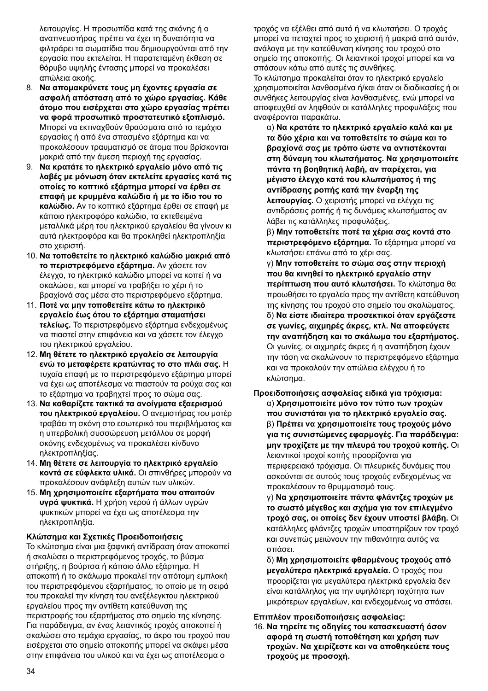λειτουργίες. Η προσωπίδα κατά της σκόνης ή ο αναπνευστήρας πρέπει να έχει τη δυνατότητα να φιλτράρει τα σωματίδια που δημιουργούνται από την εργασία που εκτελείται. Η παρατεταμένη έκθεση σε θόρυβο υψηλής έντασης μπορεί να προκαλέσει απώλεια ακοής.

- 8. **Να απομακρύνετε τους μη έχοντες εργασία σε ασφαλή απόσταση από το χώρο εργασίας. Κάθε άτομο που εισέρχεται στο χώρο εργασίας πρέπει να φορά προσωπικό προστατευτικό εξοπλισμό.** Μπορεί να εκτιναχθούν θραύσματα από το τεμάχιο εργασίας ή από ένα σπασμένο εξάρτημα και να προκαλέσουν τραυματισμό σε άτομα που βρίσκονται μακριά από την άμεση περιοχή της εργασίας.
- 9. **Να κρατάτε το ηλεκτρικό εργαλείο μόνο από τις λαβές με μόνωση όταν εκτελείτε εργασίες κατά τις οποίες το κοπτικό εξάρτημα μπορεί να έρθει σε επαφή με κρυμμένα καλώδια ή με το ίδιο του το καλώδιο.** Αν το κοπτικό εξάρτημα έρθει σε επαφή με κάποιο ηλεκτροφόρο καλώδιο, τα εκτεθειμένα μεταλλικά μέρη του ηλεκτρικού εργαλείου θα γίνουν κι αυτά ηλεκτροφόρα και θα προκληθεί ηλεκτροπληξία στο χειριστή.
- 10. **Να τοποθετείτε το ηλεκτρικό καλώδιο μακριά από το περιστρεφόμενο εξάρτημα.** Αν χάσετε τον έλεγχο, το ηλεκτρικό καλώδιο μπορεί να κοπεί ή να σκαλώσει, και μπορεί να τραβήξει το χέρι ή το βραχίονά σας μέσα στο περιστρεφόμενο εξάρτημα.
- 11. **Ποτέ να μην τοποθετείτε κάτω το ηλεκτρικό εργαλείο έως ότου το εξάρτημα σταματήσει τελείως.** Το περιστρεφόμενο εξάρτημα ενδεχομένως να πιαστεί στην επιφάνεια και να χάσετε τον έλεγχο του ηλεκτρικού εργαλείου.
- 12. **Μη θέτετε το ηλεκτρικό εργαλείο σε λειτουργία ενώ το μεταφέρετε κρατώντας το στο πλάι σας.** Η τυχαία επαφή με το περιστρεφόμενο εξάρτημα μπορεί να έχει ως αποτέλεσμα να πιαστούν τα ρούχα σας και το εξάρτημα να τραβηχτεί προς το σώμα σας.
- 13. **Να καθαρίζετε τακτικά τα ανοίγματα εξαερισμού του ηλεκτρικού εργαλείου.** Ο ανεμιστήρας του μοτέρ τραβάει τη σκόνη στο εσωτερικό του περιβλήματος και η υπερβολική συσσώρευση μετάλλου σε μορφή σκόνης ενδεχομένως να προκαλέσει κίνδυνο ηλεκτροπληξίας.
- 14. **Μη θέτετε σε λειτουργία το ηλεκτρικό εργαλείο κοντά σε εύφλεκτα υλικά.** Οι σπινθήρες μπορούν να προκαλέσουν ανάφλεξη αυτών των υλικών.
- 15. **Μη χρησιμοποιείτε εξαρτήματα που απαιτούν υγρά ψυκτικά.** Η χρήση νερού ή άλλων υγρών ψυκτικών μπορεί να έχει ως αποτέλεσμα την ηλεκτροπληξία.

#### **Κλώτσημα και Σχετικές Προειδοποιήσεις**

Το κλώτσημα είναι μια ξαφνική αντίδραση όταν αποκοπεί ή σκαλώσει ο περιστρεφόμενος τροχός, το βύσμα στήριξης, η βούρτσα ή κάποιο άλλο εξάρτημα. Η αποκοπή ή το σκάλωμα προκαλεί την απότομη εμπλοκή του περιστρεφόμενου εξαρτήματος, το οποίο με τη σειρά του προκαλεί την κίνηση του ανεξέλεγκτου ηλεκτρικού εργαλείου προς την αντίθετη κατεύθυνση της περιστροφής του εξαρτήματος στο σημείο της κίνησης. Για παράδειγμα, αν ένας λειαντικός τροχός αποκοπεί ή σκαλώσει στο τεμάχιο εργασίας, το άκρο του τροχού που εισέρχεται στο σημείο αποκοπής μπορεί να σκάψει μέσα στην επιφάνεια του υλικού και να έχει ως αποτέλεσμα ο

τροχός να εξέλθει από αυτό ή να κλωτσήσει. Ο τροχός μπορεί να πεταχτεί προς το χειριστή ή μακριά από αυτόν, ανάλογα με την κατεύθυνση κίνησης του τροχού στο σημείο της αποκοπής. Οι λειαντικοί τροχοί μπορεί και να σπάσουν κάτω από αυτές τις συνθήκες.

Το κλώτσημα προκαλείται όταν το ηλεκτρικό εργαλείο χρησιμοποιείται λανθασμένα ή/και όταν οι διαδικασίες ή οι συνθήκες λειτουργίας είναι λανθασμένες, ενώ μπορεί να αποφευχθεί αν ληφθούν οι κατάλληλες προφυλάξεις που αναφέρονται παρακάτω.

α) **Να κρατάτε το ηλεκτρικό εργαλείο καλά και με τα δύο χέρια και να τοποθετείτε το σώμα και το βραχίονά σας με τρόπο ώστε να αντιστέκονται στη δύναμη του κλωτσήματος. Να χρησιμοποιείτε πάντα τη βοηθητική λαβή, αν παρέχεται, για μέγιστο έλεγχο κατά του κλωτσήματος ή της αντίδρασης ροπής κατά την έναρξη της λειτουργίας.** Ο χειριστής μπορεί να ελέγχει τις αντιδράσεις ροπής ή τις δυνάμεις κλωτσήματος αν λάβει τις κατάλληλες προφυλάξεις.

β) **Μην τοποθετείτε ποτέ τα χέρια σας κοντά στο περιστρεφόμενο εξάρτημα.** Το εξάρτημα μπορεί να κλωτσήσει επάνω από το χέρι σας.

γ) **Μην τοποθετείτε το σώμα σας στην περιοχή που θα κινηθεί το ηλεκτρικό εργαλείο στην περίπτωση που αυτό κλωτσήσει.** Το κλώτσημα θα προωθήσει το εργαλείο προς την αντίθετη κατεύθυνση της κίνησης του τροχού στο σημείο του σκαλώματος. δ) **Να είστε ιδιαίτερα προσεκτικοί όταν εργάζεστε σε γωνίες, αιχμηρές άκρες, κτλ. Να αποφεύγετε την αναπήδηση και το σκάλωμα του εξαρτήματος.** Οι γωνίες, οι αιχμηρές άκρες ή η αναπήδηση έχουν την τάση να σκαλώνουν το περιστρεφόμενο εξάρτημα και να προκαλούν την απώλεια ελέγχου ή το κλώτσημα.

**Προειδοποιήσεις ασφαλείας ειδικά για τρόχισμα:**  α) **Χρησιμοποιείτε μόνο τον τύπο των τροχών που συνιστάται για το ηλεκτρικό εργαλείο σας.**  β) **Πρέπει να χρησιμοποιείτε τους τροχούς μόνο για τις συνιστώμενες εφαρμογές. Για παράδειγμα: μην τροχίζετε με την πλευρά του τροχού κοπής.** Οι λειαντικοί τροχοί κοπής προορίζονται για περιφερειακό τρόχισμα. Οι πλευρικές δυνάμεις που ασκούνται σε αυτούς τους τροχούς ενδεχομένως να προκαλέσουν το θρυμματισμό τους.

γ) **Να χρησιμοποιείτε πάντα φλάντζες τροχών με το σωστό μέγεθος και σχήμα για τον επιλεγμένο τροχό σας, οι οποίες δεν έχουν υποστεί βλάβη.** Οι κατάλληλες φλάντζες τροχών υποστηρίζουν τον τροχό και συνεπώς μειώνουν την πιθανότητα αυτός να σπάσει.

δ) **Μη χρησιμοποιείτε φθαρμένους τροχούς από μεγαλύτερα ηλεκτρικά εργαλεία.** Ο τροχός που προορίζεται για μεγαλύτερα ηλεκτρικά εργαλεία δεν είναι κατάλληλος για την υψηλότερη ταχύτητα των μικρότερων εργαλείων, και ενδεχομένως να σπάσει.

#### **Επιπλέον προειδοποιήσεις ασφαλείας:**

16. **Να τηρείτε τις οδηγίες του κατασκευαστή όσον αφορά τη σωστή τοποθέτηση και χρήση των τροχών. Να χειρίζεστε και να αποθηκεύετε τους τροχούς με προσοχή.**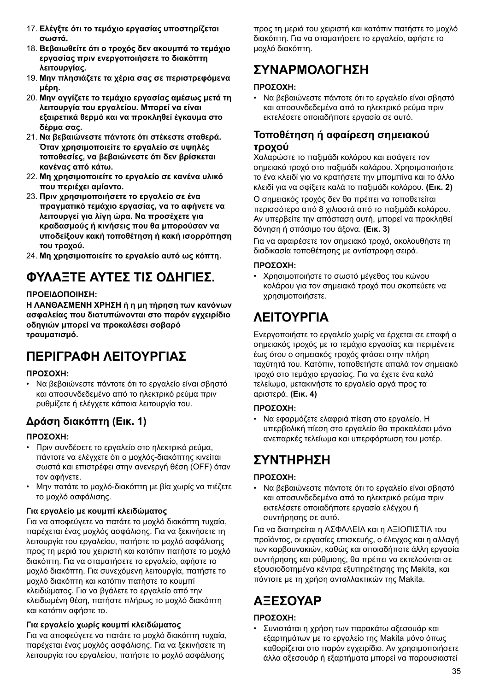- 17. **Ελέγξτε ότι το τεμάχιο εργασίας υποστηρίζεται σωστά.**
- 18. **Βεβαιωθείτε ότι ο τροχός δεν ακουμπά το τεμάχιο εργασίας πριν ενεργοποιήσετε το διακόπτη λειτουργίας.**
- 19. **Μην πλησιάζετε τα χέρια σας σε περιστρεφόμενα μέρη.**
- 20. **Μην αγγίζετε το τεμάχιο εργασίας αμέσως μετά τη λειτουργία του εργαλείου. Μπορεί να είναι εξαιρετικά θερμό και να προκληθεί έγκαυμα στο δέρμα σας.**
- 21. **Να βεβαιώνεστε πάντοτε ότι στέκεστε σταθερά. Όταν χρησιμοποιείτε το εργαλείο σε υψηλές τοποθεσίες, να βεβαιώνεστε ότι δεν βρίσκεται κανένας από κάτω.**
- 22. **Μη χρησιμοποιείτε το εργαλείο σε κανένα υλικό που περιέχει αμίαντο.**
- 23. **Πριν χρησιμοποιήσετε το εργαλείο σε ένα πραγματικό τεμάχιο εργασίας, να το αφήνετε να λειτουργεί για λίγη ώρα. Να προσέχετε για κραδασμούς ή κινήσεις που θα μπορούσαν να υποδείξουν κακή τοποθέτηση ή κακή ισορρόπηση του τροχού.**
- 24. **Μη χρησιμοποιείτε το εργαλείο αυτό ως κόπτη.**

# **ΦΥΛΑΞΤΕ ΑΥΤΕΣ ΤΙΣ ΟΔΗΓΙΕΣ.**

#### **ΠΡΟΕΙΔΟΠΟΙΗΣΗ:**

**Η ΛΑΝΘΑΣΜΕΝΗ ΧΡΗΣΗ ή η μη τήρηση των κανόνων ασφαλείας που διατυπώνονται στο παρόν εγχειρίδιο οδηγιών μπορεί να προκαλέσει σοβαρό τραυματισμό.**

# **ΠΕΡΙΓΡΑΦΗ ΛΕΙΤΟΥΡΓΙΑΣ**

#### **ΠΡΟΣΟΧΗ:**

• Να βεβαιώνεστε πάντοτε ότι το εργαλείο είναι σβηστό και αποσυνδεδεμένο από το ηλεκτρικό ρεύμα πριν ρυθμίζετε ή ελέγχετε κάποια λειτουργία του.

### **Δράση διακόπτη (Εικ. 1)**

#### **ΠΡΟΣΟΧΗ:**

- Πριν συνδέσετε το εργαλείο στο ηλεκτρικό ρεύμα, πάντοτε να ελέγχετε ότι ο μοχλός-διακόπτης κινείται σωστά και επιστρέφει στην ανενεργή θέση (OFF) όταν τον αφήνετε.
- Μην πατάτε το μοχλό-διακόπτη με βία χωρίς να πιέζετε το μοχλό ασφάλισης.

#### **Για εργαλείο με κουμπί κλειδώματος**

Για να αποφεύγετε να πατάτε το μοχλό διακόπτη τυχαία, παρέχεται ένας μοχλός ασφάλισης. Για να ξεκινήσετε τη λειτουργία του εργαλείου, πατήστε το μοχλό ασφάλισης προς τη μεριά του χειριστή και κατόπιν πατήστε το μοχλό διακόπτη. Για να σταματήσετε το εργαλείο, αφήστε το μοχλό διακόπτη. Για συνεχόμενη λειτουργία, πατήστε το μοχλό διακόπτη και κατόπιν πατήστε το κουμπί κλειδώματος. Για να βγάλετε το εργαλείο από την κλειδωμένη θέση, πατήστε πλήρως το μοχλό διακόπτη και κατόπιν αφήστε το.

### **Για εργαλείο χωρίς κουμπί κλειδώματος**

Για να αποφεύγετε να πατάτε το μοχλό διακόπτη τυχαία, παρέχεται ένας μοχλός ασφάλισης. Για να ξεκινήσετε τη λειτουργία του εργαλείου, πατήστε το μοχλό ασφάλισης

προς τη μεριά του χειριστή και κατόπιν πατήστε το μοχλό διακόπτη. Για να σταματήσετε το εργαλείο, αφήστε το μοχλό διακόπτη.

# **ΣΥΝΑΡΜΟΛΟΓΗΣΗ**

### **ΠΡΟΣΟΧΗ:**

• Να βεβαιώνεστε πάντοτε ότι το εργαλείο είναι σβηστό και αποσυνδεδεμένο από το ηλεκτρικό ρεύμα πριν εκτελέσετε οποιαδήποτε εργασία σε αυτό.

### **Τοποθέτηση ή αφαίρεση σημειακού τροχού**

Χαλαρώστε το παξιμάδι κολάρου και εισάγετε τον σημειακό τροχό στο παξιμάδι κολάρου. Χρησιμοποιήστε το ένα κλειδί για να κρατήσετε την μπομπίνα και το άλλο κλειδί για να σφίξετε καλά το παξιμάδι κολάρου. **(Εικ. 2)**

Ο σημειακός τροχός δεν θα πρέπει να τοποθετείται περισσότερο από 8 χιλιοστά από το παξιμάδι κολάρου. Αν υπερβείτε την απόσταση αυτή, μπορεί να προκληθεί δόνηση ή σπάσιμο του άξονα. **(Εικ. 3)**

Για να αφαιρέσετε τον σημειακό τροχό, ακολουθήστε τη διαδικασία τοποθέτησης με αντίστροφη σειρά.

#### **ΠΡΟΣΟΧΗ:**

• Χρησιμοποιήστε το σωστό μέγεθος του κώνου κολάρου για τον σημειακό τροχό που σκοπεύετε να χρησιμοποιήσετε.

# **ΛΕΙΤΟΥΡΓΙΑ**

Ενεργοποιήστε το εργαλείο χωρίς να έρχεται σε επαφή ο σημειακός τροχός με το τεμάχιο εργασίας και περιμένετε έως ότου ο σημειακός τροχός φτάσει στην πλήρη ταχύτητά του. Κατόπιν, τοποθετήστε απαλά τον σημειακό τροχό στο τεμάχιο εργασίας. Για να έχετε ένα καλό τελείωμα, μετακινήστε το εργαλείο αργά προς τα αριστερά. **(Εικ. 4)**

#### **ΠΡΟΣΟΧΗ:**

• Να εφαρμόζετε ελαφριά πίεση στο εργαλείο. Η υπερβολική πίεση στο εργαλείο θα προκαλέσει μόνο ανεπαρκές τελείωμα και υπερφόρτωση του μοτέρ.

# **ΣΥΝΤΗΡΗΣΗ**

### **ΠΡΟΣΟΧΗ:**

• Να βεβαιώνεστε πάντοτε ότι το εργαλείο είναι σβηστό και αποσυνδεδεμένο από το ηλεκτρικό ρεύμα πριν εκτελέσετε οποιαδήποτε εργασία ελέγχου ή συντήρησης σε αυτό.

Για να διατηρείται η ΑΣΦΑΛΕΙΑ και η ΑΞΙΟΠΙΣΤΙΑ του προϊόντος, οι εργασίες επισκευής, ο έλεγχος και η αλλαγή των καρβουνακιών, καθώς και οποιαδήποτε άλλη εργασία συντήρησης και ρύθμισης, θα πρέπει να εκτελούνται σε εξουσιοδοτημένα κέντρα εξυπηρέτησης της Makita, και πάντοτε με τη χρήση ανταλλακτικών της Makita.

# **ΑΞΕΣΟΥΑΡ**

#### **ΠΡΟΣΟΧΗ:**

• Συνιστάται η χρήση των παρακάτω αξεσουάρ και εξαρτημάτων με το εργαλείο της Makita μόνο όπως καθορίζεται στο παρόν εγχειρίδιο. Αν χρησιμοποιήσετε άλλα αξεσουάρ ή εξαρτήματα μπορεί να παρουσιαστεί